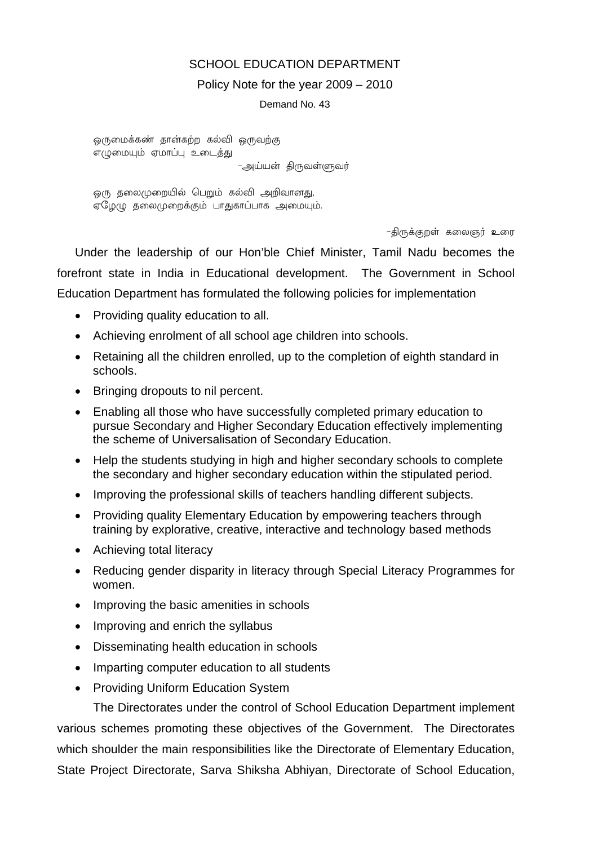## SCHOOL EDUCATION DEPARTMENT

#### Policy Note for the year 2009 – 2010

Demand No. 43

ஒருமைக்கண் தான்கற்ற கல்வி ஒருவற்கு எமுமையம் எமாப்ப உடைக்கு

-அய்யன் திருவள்ளுவர்

ஒரு தலைமுறையில் பெறும் கல்வி அறிவானது, எமேமு கலைமுறைக்கும் பாகுகாப்பாக அமையம்.

-திருக்குறள் கலைஞர் உரை

Under the leadership of our Hon'ble Chief Minister, Tamil Nadu becomes the forefront state in India in Educational development. The Government in School Education Department has formulated the following policies for implementation

- Providing quality education to all.
- Achieving enrolment of all school age children into schools.
- Retaining all the children enrolled, up to the completion of eighth standard in schools.
- Bringing dropouts to nil percent.
- Enabling all those who have successfully completed primary education to pursue Secondary and Higher Secondary Education effectively implementing the scheme of Universalisation of Secondary Education.
- Help the students studying in high and higher secondary schools to complete the secondary and higher secondary education within the stipulated period.
- Improving the professional skills of teachers handling different subjects.
- Providing quality Elementary Education by empowering teachers through training by explorative, creative, interactive and technology based methods
- Achieving total literacy
- Reducing gender disparity in literacy through Special Literacy Programmes for women.
- Improving the basic amenities in schools
- Improving and enrich the syllabus
- Disseminating health education in schools
- Imparting computer education to all students
- Providing Uniform Education System

 The Directorates under the control of School Education Department implement various schemes promoting these objectives of the Government. The Directorates which shoulder the main responsibilities like the Directorate of Elementary Education, State Project Directorate, Sarva Shiksha Abhiyan, Directorate of School Education,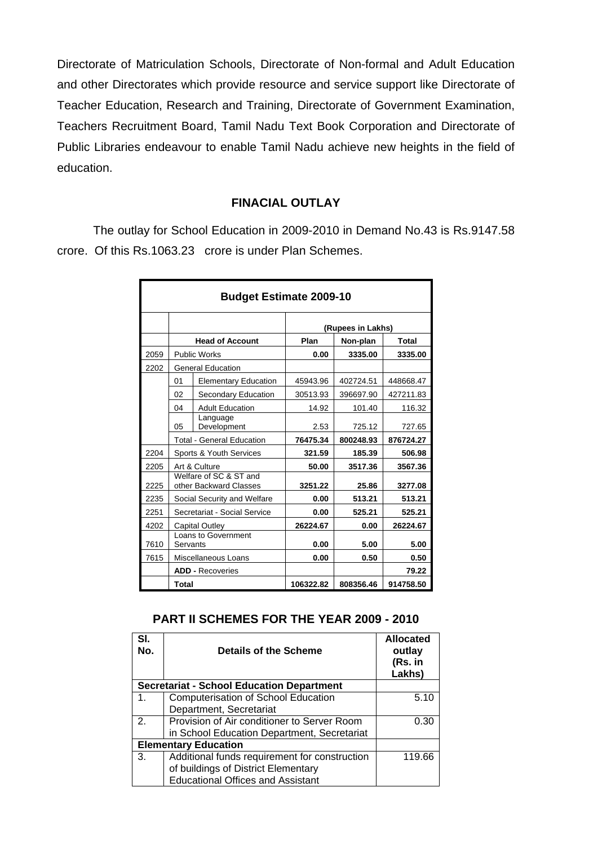Directorate of Matriculation Schools, Directorate of Non-formal and Adult Education and other Directorates which provide resource and service support like Directorate of Teacher Education, Research and Training, Directorate of Government Examination, Teachers Recruitment Board, Tamil Nadu Text Book Corporation and Directorate of Public Libraries endeavour to enable Tamil Nadu achieve new heights in the field of education.

## **FINACIAL OUTLAY**

The outlay for School Education in 2009-2010 in Demand No.43 is Rs.9147.58 crore. Of this Rs.1063.23 crore is under Plan Schemes.

| <b>Budget Estimate 2009-10</b> |          |                                                  |                   |           |           |  |
|--------------------------------|----------|--------------------------------------------------|-------------------|-----------|-----------|--|
|                                |          |                                                  | (Rupees in Lakhs) |           |           |  |
|                                |          | <b>Head of Account</b>                           | Plan              | Non-plan  | Total     |  |
| 2059                           |          | <b>Public Works</b>                              | 0.00              | 3335.00   | 3335.00   |  |
| 2202                           |          | <b>General Education</b>                         |                   |           |           |  |
|                                | 01       | <b>Elementary Education</b>                      | 45943.96          | 402724.51 | 448668.47 |  |
|                                | 02       | Secondary Education                              | 30513.93          | 396697.90 | 427211.83 |  |
|                                | 04       | <b>Adult Education</b>                           | 14.92             | 101.40    | 116.32    |  |
|                                | 05       | Language<br>Development                          | 2.53              | 725.12    | 727.65    |  |
|                                |          | <b>Total - General Education</b>                 | 76475.34          | 800248.93 | 876724.27 |  |
| 2204                           |          | Sports & Youth Services                          | 321.59            | 185.39    | 506.98    |  |
| 2205                           |          | Art & Culture                                    | 50.00             | 3517.36   | 3567.36   |  |
| 2225                           |          | Welfare of SC & ST and<br>other Backward Classes | 3251.22           | 25.86     | 3277.08   |  |
| 2235                           |          | Social Security and Welfare                      | 0.00              | 513.21    | 513.21    |  |
| 2251                           |          | Secretariat - Social Service                     | 0.00              | 525.21    | 525.21    |  |
| 4202                           |          | Capital Outley                                   | 26224.67          | 0.00      | 26224.67  |  |
| 7610                           | Servants | Loans to Government                              | 0.00              | 5.00      | 5.00      |  |
| 7615                           |          | Miscellaneous Loans                              | 0.00              | 0.50      | 0.50      |  |
|                                |          | <b>ADD - Recoveries</b>                          |                   |           | 79.22     |  |
|                                | Total    |                                                  | 106322.82         | 808356.46 | 914758.50 |  |

## **PART II SCHEMES FOR THE YEAR 2009 - 2010**

| SI.<br>No.                  | Details of the Scheme                            | <b>Allocated</b><br>outlay<br>(Rs. in<br>Lakhs) |
|-----------------------------|--------------------------------------------------|-------------------------------------------------|
|                             | <b>Secretariat - School Education Department</b> |                                                 |
| 1.                          | Computerisation of School Education              | 5.10                                            |
|                             | Department, Secretariat                          |                                                 |
| 2.                          | Provision of Air conditioner to Server Room      | 0.30                                            |
|                             | in School Education Department, Secretariat      |                                                 |
| <b>Elementary Education</b> |                                                  |                                                 |
| 3.                          | Additional funds requirement for construction    | 119.66                                          |
|                             | of buildings of District Elementary              |                                                 |
|                             | <b>Educational Offices and Assistant</b>         |                                                 |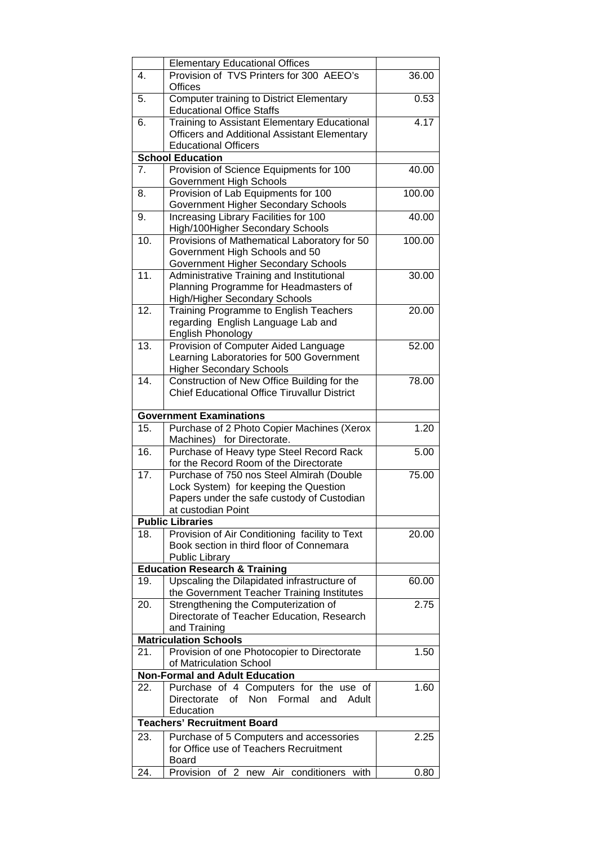|     | <b>Elementary Educational Offices</b>                                                              |        |
|-----|----------------------------------------------------------------------------------------------------|--------|
| 4.  | Provision of TVS Printers for 300 AEEO's                                                           | 36.00  |
|     | <b>Offices</b>                                                                                     |        |
| 5.  | <b>Computer training to District Elementary</b>                                                    | 0.53   |
|     | <b>Educational Office Staffs</b>                                                                   |        |
| 6.  | <b>Training to Assistant Elementary Educational</b>                                                | 4.17   |
|     | Officers and Additional Assistant Elementary                                                       |        |
|     | <b>Educational Officers</b>                                                                        |        |
|     | <b>School Education</b>                                                                            |        |
| 7.  | Provision of Science Equipments for 100                                                            | 40.00  |
| 8.  | Government High Schools<br>Provision of Lab Equipments for 100                                     | 100.00 |
|     | <b>Government Higher Secondary Schools</b>                                                         |        |
| 9.  | Increasing Library Facilities for 100                                                              | 40.00  |
|     | High/100Higher Secondary Schools                                                                   |        |
| 10. | Provisions of Mathematical Laboratory for 50                                                       | 100.00 |
|     | Government High Schools and 50                                                                     |        |
|     | Government Higher Secondary Schools                                                                |        |
| 11. | Administrative Training and Institutional                                                          | 30.00  |
|     | Planning Programme for Headmasters of                                                              |        |
|     | High/Higher Secondary Schools                                                                      |        |
| 12. | Training Programme to English Teachers                                                             | 20.00  |
|     | regarding English Language Lab and                                                                 |        |
|     | <b>English Phonology</b>                                                                           |        |
| 13. | Provision of Computer Aided Language                                                               | 52.00  |
|     | Learning Laboratories for 500 Government                                                           |        |
| 14. | <b>Higher Secondary Schools</b>                                                                    |        |
|     | Construction of New Office Building for the<br><b>Chief Educational Office Tiruvallur District</b> | 78.00  |
|     |                                                                                                    |        |
|     | <b>Government Examinations</b>                                                                     |        |
| 15. | Purchase of 2 Photo Copier Machines (Xerox                                                         | 1.20   |
|     | Machines) for Directorate.                                                                         |        |
| 16. | Purchase of Heavy type Steel Record Rack                                                           | 5.00   |
|     | for the Record Room of the Directorate                                                             |        |
| 17. | Purchase of 750 nos Steel Almirah (Double                                                          | 75.00  |
|     | Lock System) for keeping the Question                                                              |        |
|     | Papers under the safe custody of Custodian                                                         |        |
|     | at custodian Point                                                                                 |        |
|     | <b>Public Libraries</b>                                                                            |        |
| 18. | Provision of Air Conditioning facility to Text                                                     | 20.00  |
|     | Book section in third floor of Connemara<br>Public Library                                         |        |
|     | <b>Education Research &amp; Training</b>                                                           |        |
| 19. | Upscaling the Dilapidated infrastructure of                                                        | 60.00  |
|     | the Government Teacher Training Institutes                                                         |        |
| 20. | Strengthening the Computerization of                                                               | 2.75   |
|     | Directorate of Teacher Education, Research                                                         |        |
|     | and Training                                                                                       |        |
|     | <b>Matriculation Schools</b>                                                                       |        |
| 21. | Provision of one Photocopier to Directorate                                                        | 1.50   |
|     | of Matriculation School                                                                            |        |
|     | <b>Non-Formal and Adult Education</b>                                                              |        |
| 22. | Purchase of 4 Computers for the use of                                                             | 1.60   |
|     | Directorate of Non Formal and<br>Adult                                                             |        |
|     | Education                                                                                          |        |
|     | <b>Teachers' Recruitment Board</b>                                                                 |        |
| 23. | Purchase of 5 Computers and accessories                                                            | 2.25   |
|     | for Office use of Teachers Recruitment                                                             |        |
|     | Board                                                                                              |        |
| 24. | Provision of 2 new Air conditioners<br>with                                                        | 0.80   |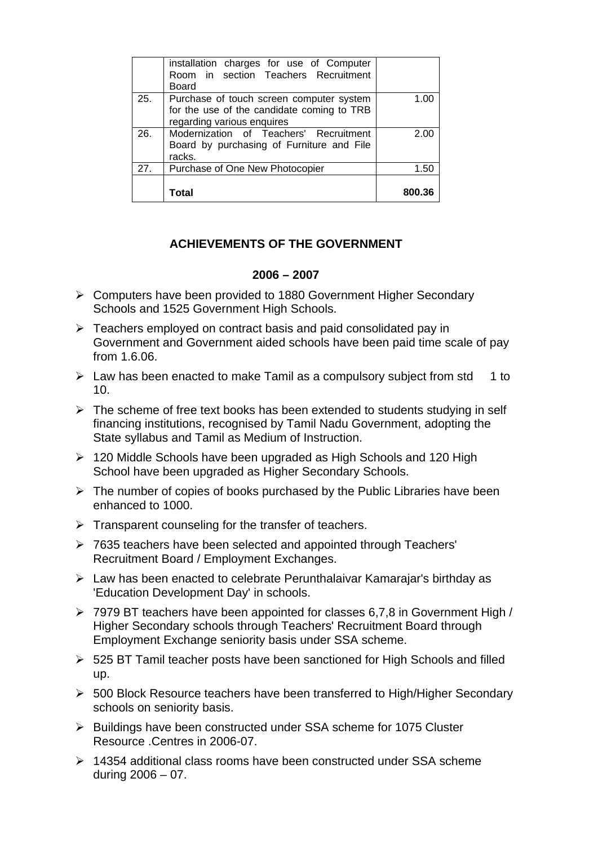|     | installation charges for use of Computer<br>Room in section Teachers Recruitment<br><b>Board</b>                     |        |
|-----|----------------------------------------------------------------------------------------------------------------------|--------|
| 25. | Purchase of touch screen computer system<br>for the use of the candidate coming to TRB<br>regarding various enquires | 1.00   |
| 26. | Modernization of Teachers' Recruitment<br>Board by purchasing of Furniture and File<br>racks.                        | 2.00   |
| 27. | Purchase of One New Photocopier                                                                                      | 1.50   |
|     | Total                                                                                                                | 800.36 |

# **ACHIEVEMENTS OF THE GOVERNMENT**

### **2006 – 2007**

- ¾ Computers have been provided to 1880 Government Higher Secondary Schools and 1525 Government High Schools.
- $\triangleright$  Teachers employed on contract basis and paid consolidated pay in Government and Government aided schools have been paid time scale of pay from 1.6.06.
- $\triangleright$  Law has been enacted to make Tamil as a compulsory subject from std 1 to 10.
- $\triangleright$  The scheme of free text books has been extended to students studying in self financing institutions, recognised by Tamil Nadu Government, adopting the State syllabus and Tamil as Medium of Instruction.
- $\geq 120$  Middle Schools have been upgraded as High Schools and 120 High School have been upgraded as Higher Secondary Schools.
- $\triangleright$  The number of copies of books purchased by the Public Libraries have been enhanced to 1000.
- $\triangleright$  Transparent counseling for the transfer of teachers.
- ¾ 7635 teachers have been selected and appointed through Teachers' Recruitment Board / Employment Exchanges.
- $\triangleright$  Law has been enacted to celebrate Perunthalaivar Kamaraiar's birthday as 'Education Development Day' in schools.
- ¾ 7979 BT teachers have been appointed for classes 6,7,8 in Government High / Higher Secondary schools through Teachers' Recruitment Board through Employment Exchange seniority basis under SSA scheme.
- $\geq$  525 BT Tamil teacher posts have been sanctioned for High Schools and filled up.
- ¾ 500 Block Resource teachers have been transferred to High/Higher Secondary schools on seniority basis.
- ¾ Buildings have been constructed under SSA scheme for 1075 Cluster Resource .Centres in 2006-07.
- $\triangleright$  14354 additional class rooms have been constructed under SSA scheme during 2006 – 07.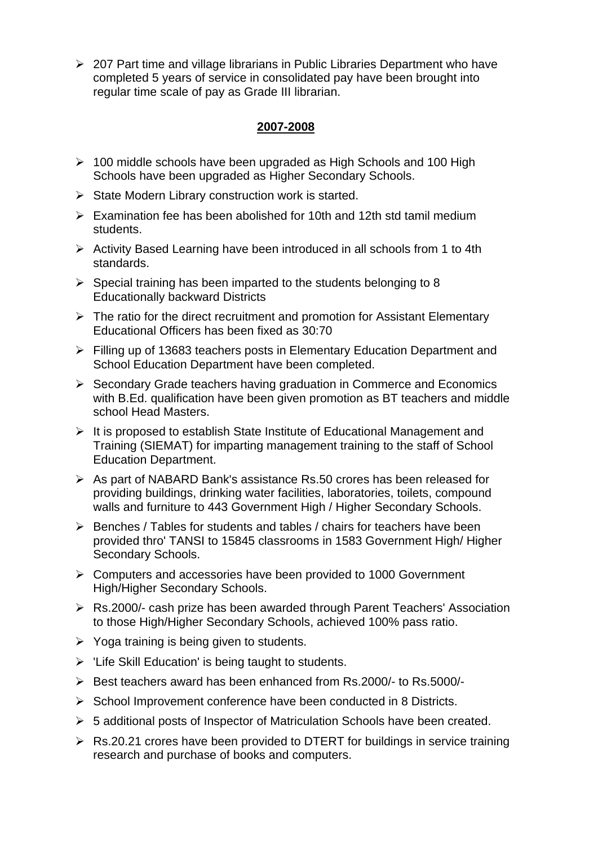¾ 207 Part time and village librarians in Public Libraries Department who have completed 5 years of service in consolidated pay have been brought into regular time scale of pay as Grade III librarian.

# **2007-2008**

- $\geq 100$  middle schools have been upgraded as High Schools and 100 High Schools have been upgraded as Higher Secondary Schools.
- $\triangleright$  State Modern Library construction work is started.
- $\triangleright$  Examination fee has been abolished for 10th and 12th std tamil medium students.
- ¾ Activity Based Learning have been introduced in all schools from 1 to 4th standards.
- $\triangleright$  Special training has been imparted to the students belonging to 8 Educationally backward Districts
- $\triangleright$  The ratio for the direct recruitment and promotion for Assistant Elementary Educational Officers has been fixed as 30:70
- ¾ Filling up of 13683 teachers posts in Elementary Education Department and School Education Department have been completed.
- ¾ Secondary Grade teachers having graduation in Commerce and Economics with B.Ed. qualification have been given promotion as BT teachers and middle school Head Masters.
- ¾ It is proposed to establish State Institute of Educational Management and Training (SIEMAT) for imparting management training to the staff of School Education Department.
- $\triangleright$  As part of NABARD Bank's assistance Rs.50 crores has been released for providing buildings, drinking water facilities, laboratories, toilets, compound walls and furniture to 443 Government High / Higher Secondary Schools.
- $\triangleright$  Benches / Tables for students and tables / chairs for teachers have been provided thro' TANSI to 15845 classrooms in 1583 Government High/ Higher Secondary Schools.
- ¾ Computers and accessories have been provided to 1000 Government High/Higher Secondary Schools.
- ¾ Rs.2000/- cash prize has been awarded through Parent Teachers' Association to those High/Higher Secondary Schools, achieved 100% pass ratio.
- $\triangleright$  Yoga training is being given to students.
- $\triangleright$  'Life Skill Education' is being taught to students.
- $\triangleright$  Best teachers award has been enhanced from Rs.2000/- to Rs.5000/-
- ¾ School Improvement conference have been conducted in 8 Districts.
- ¾ 5 additional posts of Inspector of Matriculation Schools have been created.
- $\triangleright$  Rs.20.21 crores have been provided to DTERT for buildings in service training research and purchase of books and computers.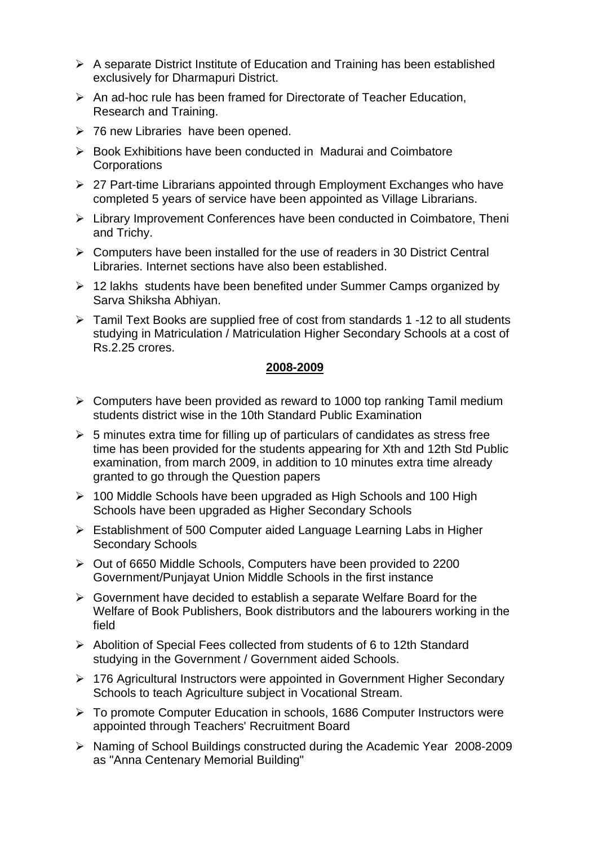- $\triangleright$  A separate District Institute of Education and Training has been established exclusively for Dharmapuri District.
- $\triangleright$  An ad-hoc rule has been framed for Directorate of Teacher Education, Research and Training.
- $\geq$  76 new Libraries have been opened.
- ¾ Book Exhibitions have been conducted in Madurai and Coimbatore **Corporations**
- ¾ 27 Part-time Librarians appointed through Employment Exchanges who have completed 5 years of service have been appointed as Village Librarians.
- ¾ Library Improvement Conferences have been conducted in Coimbatore, Theni and Trichy.
- $\triangleright$  Computers have been installed for the use of readers in 30 District Central Libraries. Internet sections have also been established.
- $\geq 12$  lakhs students have been benefited under Summer Camps organized by Sarva Shiksha Abhiyan.
- ¾ Tamil Text Books are supplied free of cost from standards 1 -12 to all students studying in Matriculation / Matriculation Higher Secondary Schools at a cost of Rs.2.25 crores.

### **2008-2009**

- $\triangleright$  Computers have been provided as reward to 1000 top ranking Tamil medium students district wise in the 10th Standard Public Examination
- $\geq 5$  minutes extra time for filling up of particulars of candidates as stress free time has been provided for the students appearing for Xth and 12th Std Public examination, from march 2009, in addition to 10 minutes extra time already granted to go through the Question papers
- $\geq 100$  Middle Schools have been upgraded as High Schools and 100 High Schools have been upgraded as Higher Secondary Schools
- ¾ Establishment of 500 Computer aided Language Learning Labs in Higher Secondary Schools
- ¾ Out of 6650 Middle Schools, Computers have been provided to 2200 Government/Punjayat Union Middle Schools in the first instance
- $\triangleright$  Government have decided to establish a separate Welfare Board for the Welfare of Book Publishers, Book distributors and the labourers working in the field
- ¾ Abolition of Special Fees collected from students of 6 to 12th Standard studying in the Government / Government aided Schools.
- ¾ 176 Agricultural Instructors were appointed in Government Higher Secondary Schools to teach Agriculture subject in Vocational Stream.
- ¾ To promote Computer Education in schools, 1686 Computer Instructors were appointed through Teachers' Recruitment Board
- ¾ Naming of School Buildings constructed during the Academic Year 2008-2009 as "Anna Centenary Memorial Building"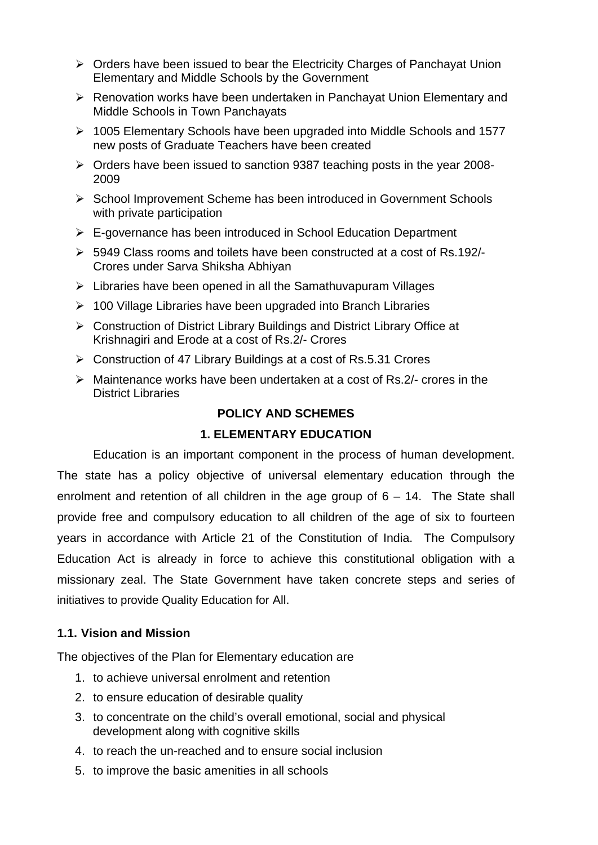- ¾ Orders have been issued to bear the Electricity Charges of Panchayat Union Elementary and Middle Schools by the Government
- ¾ Renovation works have been undertaken in Panchayat Union Elementary and Middle Schools in Town Panchayats
- ¾ 1005 Elementary Schools have been upgraded into Middle Schools and 1577 new posts of Graduate Teachers have been created
- ¾ Orders have been issued to sanction 9387 teaching posts in the year 2008- 2009
- ¾ School Improvement Scheme has been introduced in Government Schools with private participation
- $\triangleright$  E-governance has been introduced in School Education Department
- $\geq$  5949 Class rooms and toilets have been constructed at a cost of Rs.192/-Crores under Sarva Shiksha Abhiyan
- $\triangleright$  Libraries have been opened in all the Samathuvapuram Villages
- $\geq 100$  Village Libraries have been upgraded into Branch Libraries
- ¾ Construction of District Library Buildings and District Library Office at Krishnagiri and Erode at a cost of Rs.2/- Crores
- ¾ Construction of 47 Library Buildings at a cost of Rs.5.31 Crores
- $\triangleright$  Maintenance works have been undertaken at a cost of Rs. 2/- crores in the District Libraries

## **POLICY AND SCHEMES**

## **1. ELEMENTARY EDUCATION**

Education is an important component in the process of human development. The state has a policy objective of universal elementary education through the enrolment and retention of all children in the age group of 6 – 14. The State shall provide free and compulsory education to all children of the age of six to fourteen years in accordance with Article 21 of the Constitution of India. The Compulsory Education Act is already in force to achieve this constitutional obligation with a missionary zeal. The State Government have taken concrete steps and series of initiatives to provide Quality Education for All.

## **1.1. Vision and Mission**

The objectives of the Plan for Elementary education are

- 1. to achieve universal enrolment and retention
- 2. to ensure education of desirable quality
- 3. to concentrate on the child's overall emotional, social and physical development along with cognitive skills
- 4. to reach the un-reached and to ensure social inclusion
- 5. to improve the basic amenities in all schools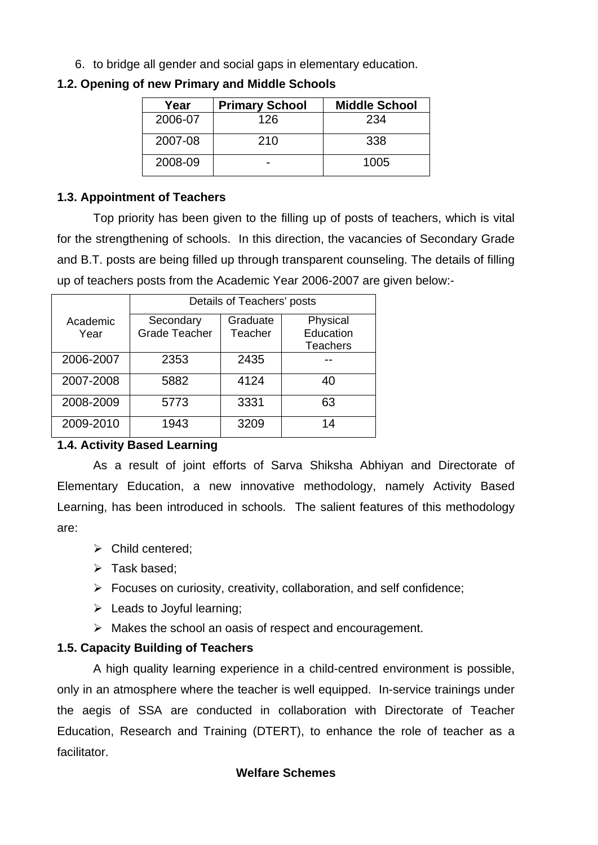6. to bridge all gender and social gaps in elementary education.

| Year    | <b>Primary School</b> | <b>Middle School</b> |
|---------|-----------------------|----------------------|
| 2006-07 | 126                   | 234                  |
| 2007-08 | 210                   | 338                  |
| 2008-09 |                       | 1005                 |

## **1.2. Opening of new Primary and Middle Schools**

## **1.3. Appointment of Teachers**

 Top priority has been given to the filling up of posts of teachers, which is vital for the strengthening of schools. In this direction, the vacancies of Secondary Grade and B.T. posts are being filled up through transparent counseling. The details of filling up of teachers posts from the Academic Year 2006-2007 are given below:-

|                  | Details of Teachers' posts        |                     |                                          |  |  |
|------------------|-----------------------------------|---------------------|------------------------------------------|--|--|
| Academic<br>Year | Secondary<br><b>Grade Teacher</b> | Graduate<br>Teacher | Physical<br>Education<br><b>Teachers</b> |  |  |
| 2006-2007        | 2353                              | 2435                |                                          |  |  |
| 2007-2008        | 5882                              | 4124                | 40                                       |  |  |
| 2008-2009        | 5773                              | 3331                | 63                                       |  |  |
| 2009-2010        | 1943                              | 3209                | 14                                       |  |  |

# **1.4. Activity Based Learning**

 As a result of joint efforts of Sarva Shiksha Abhiyan and Directorate of Elementary Education, a new innovative methodology, namely Activity Based Learning, has been introduced in schools. The salient features of this methodology are:

- $\triangleright$  Child centered:
- $\triangleright$  Task based:
- $\triangleright$  Focuses on curiosity, creativity, collaboration, and self confidence;
- $\triangleright$  Leads to Joyful learning;
- $\triangleright$  Makes the school an oasis of respect and encouragement.

# **1.5. Capacity Building of Teachers**

 A high quality learning experience in a child-centred environment is possible, only in an atmosphere where the teacher is well equipped. In-service trainings under the aegis of SSA are conducted in collaboration with Directorate of Teacher Education, Research and Training (DTERT), to enhance the role of teacher as a facilitator.

# **Welfare Schemes**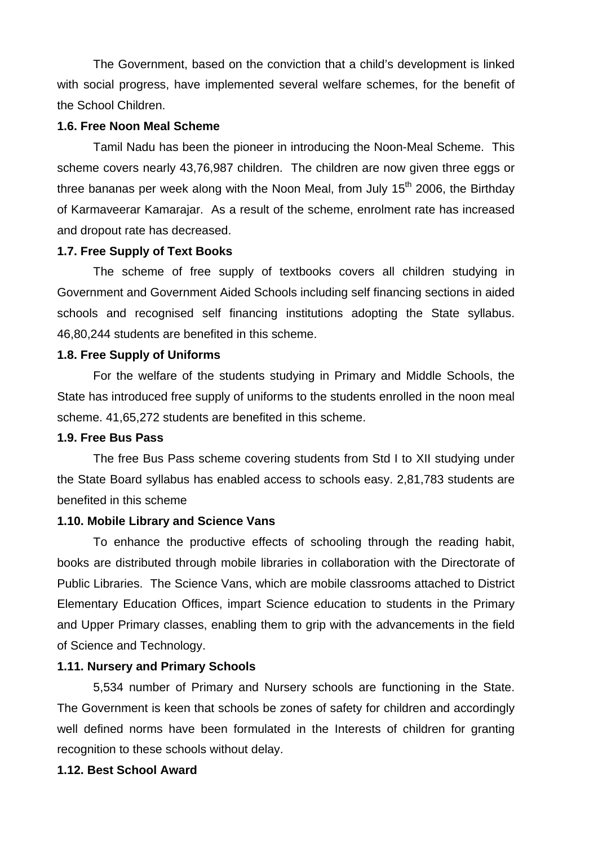The Government, based on the conviction that a child's development is linked with social progress, have implemented several welfare schemes, for the benefit of the School Children.

### **1.6. Free Noon Meal Scheme**

Tamil Nadu has been the pioneer in introducing the Noon-Meal Scheme. This scheme covers nearly 43,76,987 children. The children are now given three eggs or three bananas per week along with the Noon Meal, from July  $15<sup>th</sup>$  2006, the Birthdav of Karmaveerar Kamarajar. As a result of the scheme, enrolment rate has increased and dropout rate has decreased.

#### **1.7. Free Supply of Text Books**

 The scheme of free supply of textbooks covers all children studying in Government and Government Aided Schools including self financing sections in aided schools and recognised self financing institutions adopting the State syllabus. 46,80,244 students are benefited in this scheme.

#### **1.8. Free Supply of Uniforms**

 For the welfare of the students studying in Primary and Middle Schools, the State has introduced free supply of uniforms to the students enrolled in the noon meal scheme. 41,65,272 students are benefited in this scheme.

## **1.9. Free Bus Pass**

 The free Bus Pass scheme covering students from Std I to XII studying under the State Board syllabus has enabled access to schools easy. 2,81,783 students are benefited in this scheme

### **1.10. Mobile Library and Science Vans**

 To enhance the productive effects of schooling through the reading habit, books are distributed through mobile libraries in collaboration with the Directorate of Public Libraries. The Science Vans, which are mobile classrooms attached to District Elementary Education Offices, impart Science education to students in the Primary and Upper Primary classes, enabling them to grip with the advancements in the field of Science and Technology.

### **1.11. Nursery and Primary Schools**

 5,534 number of Primary and Nursery schools are functioning in the State. The Government is keen that schools be zones of safety for children and accordingly well defined norms have been formulated in the Interests of children for granting recognition to these schools without delay.

### **1.12. Best School Award**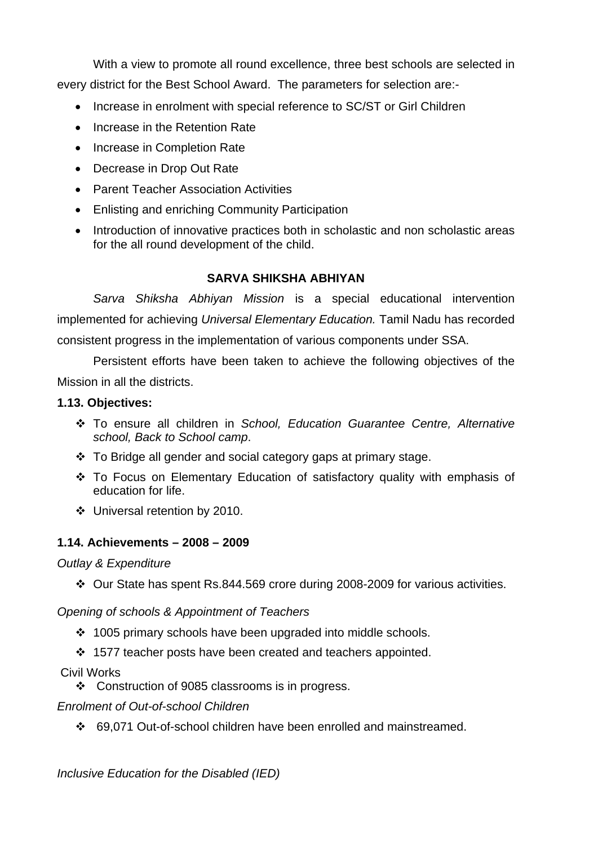With a view to promote all round excellence, three best schools are selected in every district for the Best School Award. The parameters for selection are:-

- Increase in enrolment with special reference to SC/ST or Girl Children
- Increase in the Retention Rate
- Increase in Completion Rate
- Decrease in Drop Out Rate
- Parent Teacher Association Activities
- Enlisting and enriching Community Participation
- Introduction of innovative practices both in scholastic and non scholastic areas for the all round development of the child.

# **SARVA SHIKSHA ABHIYAN**

*Sarva Shiksha Abhiyan Mission* is a special educational intervention implemented for achieving *Universal Elementary Education.* Tamil Nadu has recorded consistent progress in the implementation of various components under SSA.

Persistent efforts have been taken to achieve the following objectives of the Mission in all the districts.

# **1.13. Objectives:**

- To ensure all children in *School, Education Guarantee Centre, Alternative school, Back to School camp*.
- To Bridge all gender and social category gaps at primary stage.
- To Focus on Elementary Education of satisfactory quality with emphasis of education for life.
- Universal retention by 2010.

# **1.14. Achievements – 2008 – 2009**

## *Outlay & Expenditure*

Our State has spent Rs.844.569 crore during 2008-2009 for various activities.

# *Opening of schools & Appointment of Teachers*

- ❖ 1005 primary schools have been upgraded into middle schools.
- ❖ 1577 teacher posts have been created and teachers appointed.

# Civil Works

Construction of 9085 classrooms is in progress.

# *Enrolment of Out-of-school Children*

69,071 Out-of-school children have been enrolled and mainstreamed.

*Inclusive Education for the Disabled (IED)*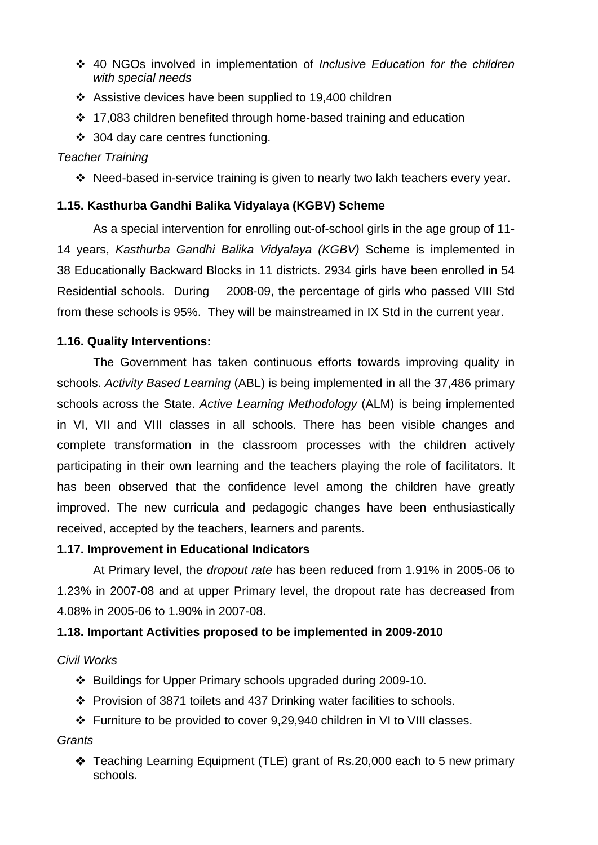- 40 NGOs involved in implementation of *Inclusive Education for the children with special needs*
- ❖ Assistive devices have been supplied to 19,400 children
- ❖ 17,083 children benefited through home-based training and education
- 304 day care centres functioning.

# *Teacher Training*

Need-based in-service training is given to nearly two lakh teachers every year.

# **1.15. Kasthurba Gandhi Balika Vidyalaya (KGBV) Scheme**

As a special intervention for enrolling out-of-school girls in the age group of 11- 14 years, *Kasthurba Gandhi Balika Vidyalaya (KGBV)* Scheme is implemented in 38 Educationally Backward Blocks in 11 districts. 2934 girls have been enrolled in 54 Residential schools. During 2008-09, the percentage of girls who passed VIII Std from these schools is 95%. They will be mainstreamed in IX Std in the current year.

# **1.16. Quality Interventions:**

The Government has taken continuous efforts towards improving quality in schools. *Activity Based Learning* (ABL) is being implemented in all the 37,486 primary schools across the State. *Active Learning Methodology* (ALM) is being implemented in VI, VII and VIII classes in all schools. There has been visible changes and complete transformation in the classroom processes with the children actively participating in their own learning and the teachers playing the role of facilitators. It has been observed that the confidence level among the children have greatly improved. The new curricula and pedagogic changes have been enthusiastically received, accepted by the teachers, learners and parents.

# **1.17. Improvement in Educational Indicators**

 At Primary level, the *dropout rate* has been reduced from 1.91% in 2005-06 to 1.23% in 2007-08 and at upper Primary level, the dropout rate has decreased from 4.08% in 2005-06 to 1.90% in 2007-08.

# **1.18. Important Activities proposed to be implemented in 2009-2010**

# *Civil Works*

- Buildings for Upper Primary schools upgraded during 2009-10.
- Provision of 3871 toilets and 437 Drinking water facilities to schools.
- Furniture to be provided to cover 9,29,940 children in VI to VIII classes.

# *Grants*

 Teaching Learning Equipment (TLE) grant of Rs.20,000 each to 5 new primary schools.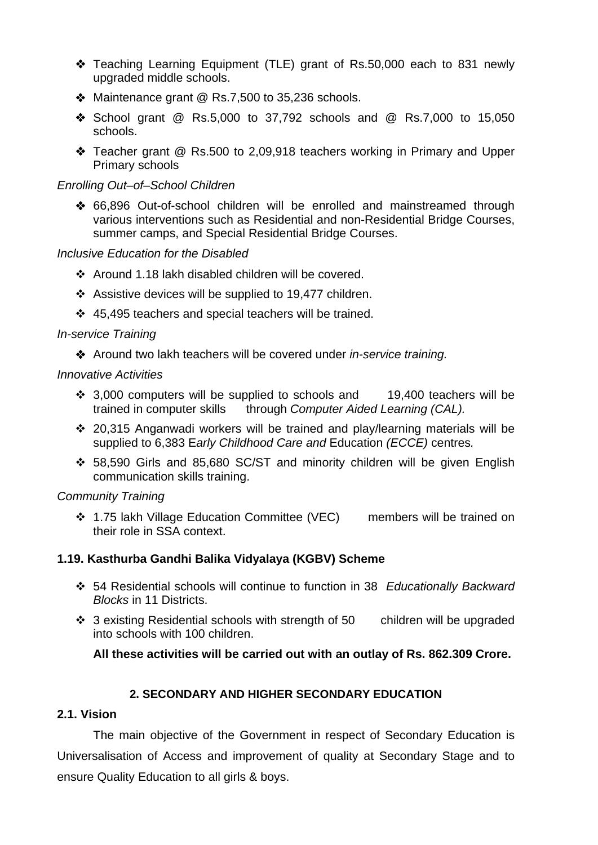- Teaching Learning Equipment (TLE) grant of Rs.50,000 each to 831 newly upgraded middle schools.
- ◆ Maintenance grant @ Rs.7,500 to 35,236 schools.
- ◆ School grant @ Rs.5,000 to 37,792 schools and @ Rs.7,000 to 15,050 schools.
- Teacher grant @ Rs.500 to 2,09,918 teachers working in Primary and Upper Primary schools

## *Enrolling Out–of–School Children*

 66,896 Out-of-school children will be enrolled and mainstreamed through various interventions such as Residential and non-Residential Bridge Courses, summer camps, and Special Residential Bridge Courses.

## *Inclusive Education for the Disabled*

- Around 1.18 lakh disabled children will be covered.
- Assistive devices will be supplied to 19,477 children.
- 45,495 teachers and special teachers will be trained.

## *In-service Training*

Around two lakh teachers will be covered under *in-service training.*

## *Innovative Activities*

- $\div$  3,000 computers will be supplied to schools and 19,400 teachers will be trained in computer skills through *Computer Aided Learning (CAL).*
- 20,315 Anganwadi workers will be trained and play/learning materials will be supplied to 6,383 E*arly Childhood Care and* Education *(ECCE)* centres*.*
- 58,590 Girls and 85,680 SC/ST and minority children will be given English communication skills training.

# *Community Training*

 1.75 lakh Village Education Committee (VEC) members will be trained on their role in SSA context.

# **1.19. Kasthurba Gandhi Balika Vidyalaya (KGBV) Scheme**

- 54 Residential schools will continue to function in 38 *Educationally Backward Blocks* in 11 Districts.
- 3 existing Residential schools with strength of 50 children will be upgraded into schools with 100 children.

# **All these activities will be carried out with an outlay of Rs. 862.309 Crore.**

# **2. SECONDARY AND HIGHER SECONDARY EDUCATION**

# **2.1. Vision**

The main objective of the Government in respect of Secondary Education is Universalisation of Access and improvement of quality at Secondary Stage and to ensure Quality Education to all girls & boys.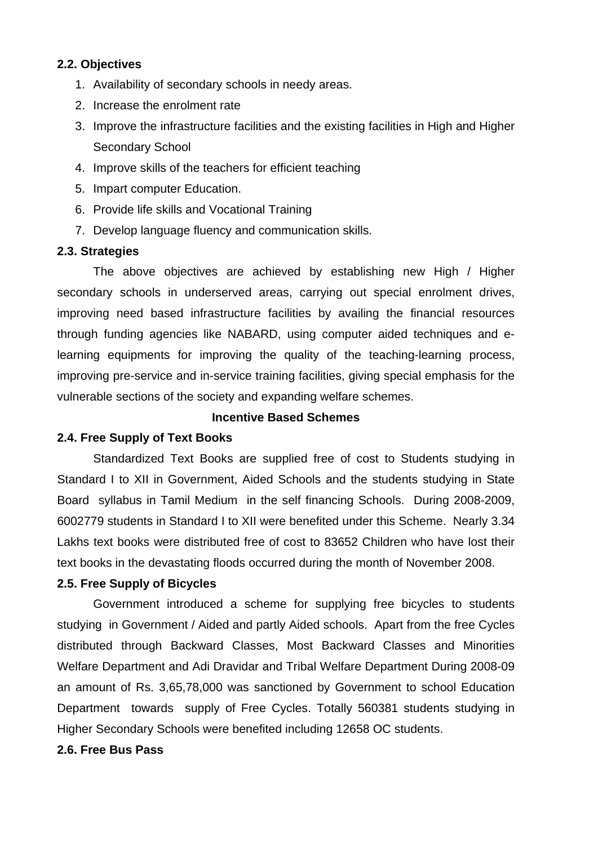## **2.2. Objectives**

- 1. Availability of secondary schools in needy areas.
- 2. Increase the enrolment rate
- 3. Improve the infrastructure facilities and the existing facilities in High and Higher Secondary School
- 4. Improve skills of the teachers for efficient teaching
- 5. Impart computer Education.
- 6. Provide life skills and Vocational Training
- 7. Develop language fluency and communication skills.

### **2.3. Strategies**

The above objectives are achieved by establishing new High / Higher secondary schools in underserved areas, carrying out special enrolment drives, improving need based infrastructure facilities by availing the financial resources through funding agencies like NABARD, using computer aided techniques and elearning equipments for improving the quality of the teaching-learning process, improving pre-service and in-service training facilities, giving special emphasis for the vulnerable sections of the society and expanding welfare schemes.

#### **Incentive Based Schemes**

### **2.4. Free Supply of Text Books**

 Standardized Text Books are supplied free of cost to Students studying in Standard I to XII in Government, Aided Schools and the students studying in State Board syllabus in Tamil Medium in the self financing Schools. During 2008-2009, 6002779 students in Standard I to XII were benefited under this Scheme. Nearly 3.34 Lakhs text books were distributed free of cost to 83652 Children who have lost their text books in the devastating floods occurred during the month of November 2008.

### **2.5. Free Supply of Bicycles**

 Government introduced a scheme for supplying free bicycles to students studying in Government / Aided and partly Aided schools. Apart from the free Cycles distributed through Backward Classes, Most Backward Classes and Minorities Welfare Department and Adi Dravidar and Tribal Welfare Department During 2008-09 an amount of Rs. 3,65,78,000 was sanctioned by Government to school Education Department towards supply of Free Cycles. Totally 560381 students studying in Higher Secondary Schools were benefited including 12658 OC students.

### **2.6. Free Bus Pass**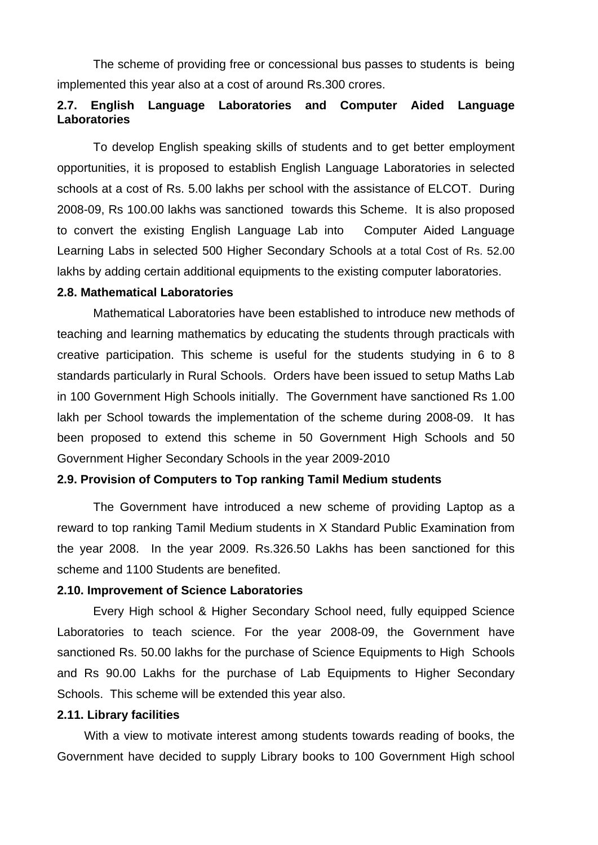The scheme of providing free or concessional bus passes to students is being implemented this year also at a cost of around Rs.300 crores.

## **2.7. English Language Laboratories and Computer Aided Language Laboratories**

 To develop English speaking skills of students and to get better employment opportunities, it is proposed to establish English Language Laboratories in selected schools at a cost of Rs. 5.00 lakhs per school with the assistance of ELCOT. During 2008-09, Rs 100.00 lakhs was sanctioned towards this Scheme. It is also proposed to convert the existing English Language Lab into Computer Aided Language Learning Labs in selected 500 Higher Secondary Schools at a total Cost of Rs. 52.00 lakhs by adding certain additional equipments to the existing computer laboratories.

### **2.8. Mathematical Laboratories**

Mathematical Laboratories have been established to introduce new methods of teaching and learning mathematics by educating the students through practicals with creative participation. This scheme is useful for the students studying in 6 to 8 standards particularly in Rural Schools. Orders have been issued to setup Maths Lab in 100 Government High Schools initially. The Government have sanctioned Rs 1.00 lakh per School towards the implementation of the scheme during 2008-09. It has been proposed to extend this scheme in 50 Government High Schools and 50 Government Higher Secondary Schools in the year 2009-2010

### **2.9. Provision of Computers to Top ranking Tamil Medium students**

The Government have introduced a new scheme of providing Laptop as a reward to top ranking Tamil Medium students in X Standard Public Examination from the year 2008. In the year 2009. Rs.326.50 Lakhs has been sanctioned for this scheme and 1100 Students are benefited.

### **2.10. Improvement of Science Laboratories**

Every High school & Higher Secondary School need, fully equipped Science Laboratories to teach science. For the year 2008-09, the Government have sanctioned Rs. 50.00 lakhs for the purchase of Science Equipments to High Schools and Rs 90.00 Lakhs for the purchase of Lab Equipments to Higher Secondary Schools. This scheme will be extended this year also.

#### **2.11. Library facilities**

With a view to motivate interest among students towards reading of books, the Government have decided to supply Library books to 100 Government High school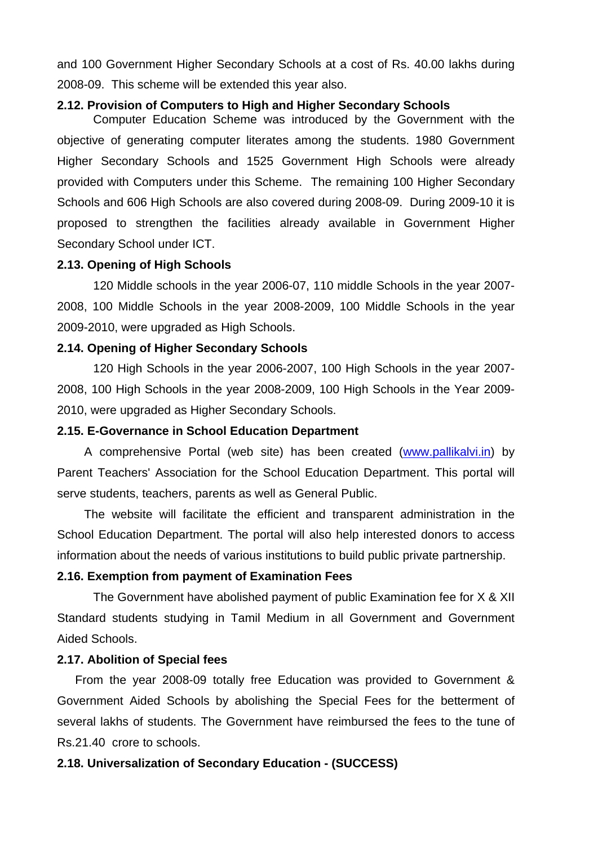and 100 Government Higher Secondary Schools at a cost of Rs. 40.00 lakhs during 2008-09. This scheme will be extended this year also.

#### **2.12. Provision of Computers to High and Higher Secondary Schools**

Computer Education Scheme was introduced by the Government with the objective of generating computer literates among the students. 1980 Government Higher Secondary Schools and 1525 Government High Schools were already provided with Computers under this Scheme. The remaining 100 Higher Secondary Schools and 606 High Schools are also covered during 2008-09. During 2009-10 it is proposed to strengthen the facilities already available in Government Higher Secondary School under ICT.

#### **2.13. Opening of High Schools**

 120 Middle schools in the year 2006-07, 110 middle Schools in the year 2007- 2008, 100 Middle Schools in the year 2008-2009, 100 Middle Schools in the year 2009-2010, were upgraded as High Schools.

### **2.14. Opening of Higher Secondary Schools**

120 High Schools in the year 2006-2007, 100 High Schools in the year 2007- 2008, 100 High Schools in the year 2008-2009, 100 High Schools in the Year 2009- 2010, were upgraded as Higher Secondary Schools.

#### **2.15. E-Governance in School Education Department**

A comprehensive Portal (web site) has been created (www.pallikalvi.in) by Parent Teachers' Association for the School Education Department. This portal will serve students, teachers, parents as well as General Public.

The website will facilitate the efficient and transparent administration in the School Education Department. The portal will also help interested donors to access information about the needs of various institutions to build public private partnership.

### **2.16. Exemption from payment of Examination Fees**

The Government have abolished payment of public Examination fee for X & XII Standard students studying in Tamil Medium in all Government and Government Aided Schools.

#### **2.17. Abolition of Special fees**

From the year 2008-09 totally free Education was provided to Government & Government Aided Schools by abolishing the Special Fees for the betterment of several lakhs of students. The Government have reimbursed the fees to the tune of Rs.21.40 crore to schools.

### **2.18. Universalization of Secondary Education - (SUCCESS)**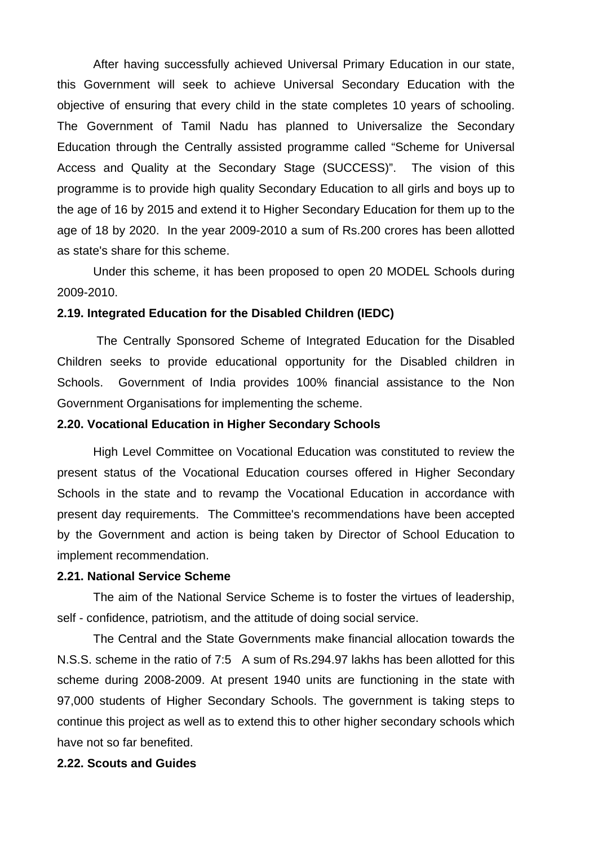After having successfully achieved Universal Primary Education in our state, this Government will seek to achieve Universal Secondary Education with the objective of ensuring that every child in the state completes 10 years of schooling. The Government of Tamil Nadu has planned to Universalize the Secondary Education through the Centrally assisted programme called "Scheme for Universal Access and Quality at the Secondary Stage (SUCCESS)". The vision of this programme is to provide high quality Secondary Education to all girls and boys up to the age of 16 by 2015 and extend it to Higher Secondary Education for them up to the age of 18 by 2020. In the year 2009-2010 a sum of Rs.200 crores has been allotted as state's share for this scheme.

 Under this scheme, it has been proposed to open 20 MODEL Schools during 2009-2010.

### **2.19. Integrated Education for the Disabled Children (IEDC)**

 The Centrally Sponsored Scheme of Integrated Education for the Disabled Children seeks to provide educational opportunity for the Disabled children in Schools. Government of India provides 100% financial assistance to the Non Government Organisations for implementing the scheme.

#### **2.20. Vocational Education in Higher Secondary Schools**

High Level Committee on Vocational Education was constituted to review the present status of the Vocational Education courses offered in Higher Secondary Schools in the state and to revamp the Vocational Education in accordance with present day requirements. The Committee's recommendations have been accepted by the Government and action is being taken by Director of School Education to implement recommendation.

#### **2.21. National Service Scheme**

The aim of the National Service Scheme is to foster the virtues of leadership, self - confidence, patriotism, and the attitude of doing social service.

The Central and the State Governments make financial allocation towards the N.S.S. scheme in the ratio of 7:5 A sum of Rs.294.97 lakhs has been allotted for this scheme during 2008-2009. At present 1940 units are functioning in the state with 97,000 students of Higher Secondary Schools. The government is taking steps to continue this project as well as to extend this to other higher secondary schools which have not so far benefited.

### **2.22. Scouts and Guides**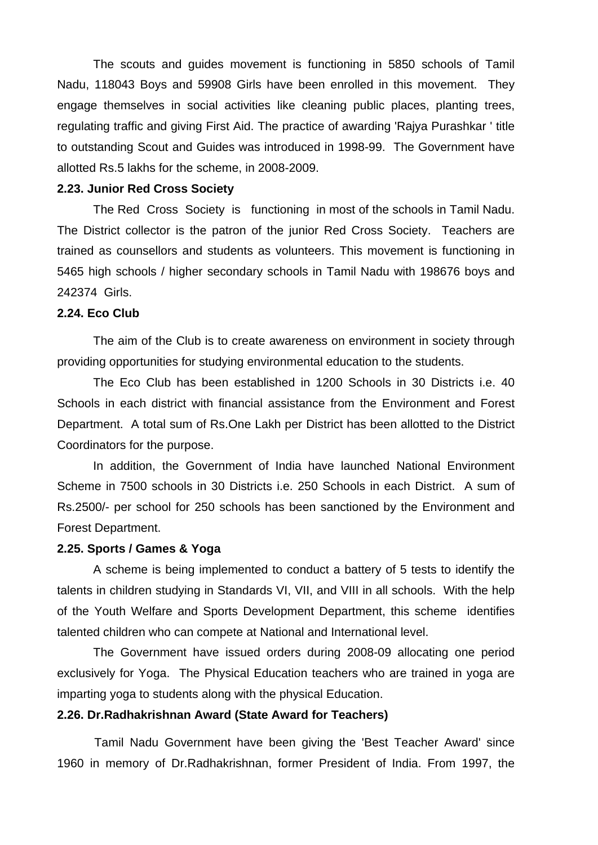The scouts and guides movement is functioning in 5850 schools of Tamil Nadu, 118043 Boys and 59908 Girls have been enrolled in this movement. They engage themselves in social activities like cleaning public places, planting trees, regulating traffic and giving First Aid. The practice of awarding 'Rajya Purashkar ' title to outstanding Scout and Guides was introduced in 1998-99. The Government have allotted Rs.5 lakhs for the scheme, in 2008-2009.

#### **2.23. Junior Red Cross Society**

The Red Cross Society is functioning in most of the schools in Tamil Nadu. The District collector is the patron of the junior Red Cross Society. Teachers are trained as counsellors and students as volunteers. This movement is functioning in 5465 high schools / higher secondary schools in Tamil Nadu with 198676 boys and 242374 Girls.

### **2.24. Eco Club**

 The aim of the Club is to create awareness on environment in society through providing opportunities for studying environmental education to the students.

The Eco Club has been established in 1200 Schools in 30 Districts i.e. 40 Schools in each district with financial assistance from the Environment and Forest Department. A total sum of Rs.One Lakh per District has been allotted to the District Coordinators for the purpose.

 In addition, the Government of India have launched National Environment Scheme in 7500 schools in 30 Districts i.e. 250 Schools in each District. A sum of Rs.2500/- per school for 250 schools has been sanctioned by the Environment and Forest Department.

#### **2.25. Sports / Games & Yoga**

A scheme is being implemented to conduct a battery of 5 tests to identify the talents in children studying in Standards VI, VII, and VIII in all schools. With the help of the Youth Welfare and Sports Development Department, this scheme identifies talented children who can compete at National and International level.

The Government have issued orders during 2008-09 allocating one period exclusively for Yoga. The Physical Education teachers who are trained in yoga are imparting yoga to students along with the physical Education.

#### **2.26. Dr.Radhakrishnan Award (State Award for Teachers)**

 Tamil Nadu Government have been giving the 'Best Teacher Award' since 1960 in memory of Dr.Radhakrishnan, former President of India. From 1997, the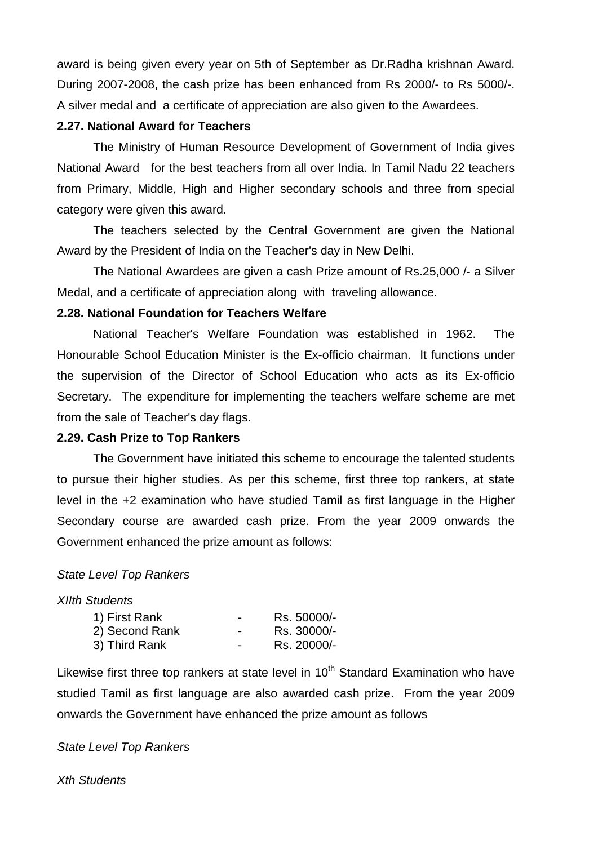award is being given every year on 5th of September as Dr.Radha krishnan Award. During 2007-2008, the cash prize has been enhanced from Rs 2000/- to Rs 5000/-. A silver medal and a certificate of appreciation are also given to the Awardees.

### **2.27. National Award for Teachers**

The Ministry of Human Resource Development of Government of India gives National Award for the best teachers from all over India. In Tamil Nadu 22 teachers from Primary, Middle, High and Higher secondary schools and three from special category were given this award.

The teachers selected by the Central Government are given the National Award by the President of India on the Teacher's day in New Delhi.

The National Awardees are given a cash Prize amount of Rs.25,000 /- a Silver Medal, and a certificate of appreciation along with traveling allowance.

## **2.28. National Foundation for Teachers Welfare**

National Teacher's Welfare Foundation was established in 1962. The Honourable School Education Minister is the Ex-officio chairman. It functions under the supervision of the Director of School Education who acts as its Ex-officio Secretary. The expenditure for implementing the teachers welfare scheme are met from the sale of Teacher's day flags.

## **2.29. Cash Prize to Top Rankers**

The Government have initiated this scheme to encourage the talented students to pursue their higher studies. As per this scheme, first three top rankers, at state level in the +2 examination who have studied Tamil as first language in the Higher Secondary course are awarded cash prize. From the year 2009 onwards the Government enhanced the prize amount as follows:

## *State Level Top Rankers*

### *XIIth Students*

| 1) First Rank  | -                        | Rs. 50000/- |
|----------------|--------------------------|-------------|
| 2) Second Rank | $\overline{\phantom{0}}$ | Rs. 30000/- |
| 3) Third Rank  | -                        | Rs. 20000/- |

Likewise first three top rankers at state level in  $10<sup>th</sup>$  Standard Examination who have studied Tamil as first language are also awarded cash prize. From the year 2009 onwards the Government have enhanced the prize amount as follows

### *State Level Top Rankers*

*Xth Students*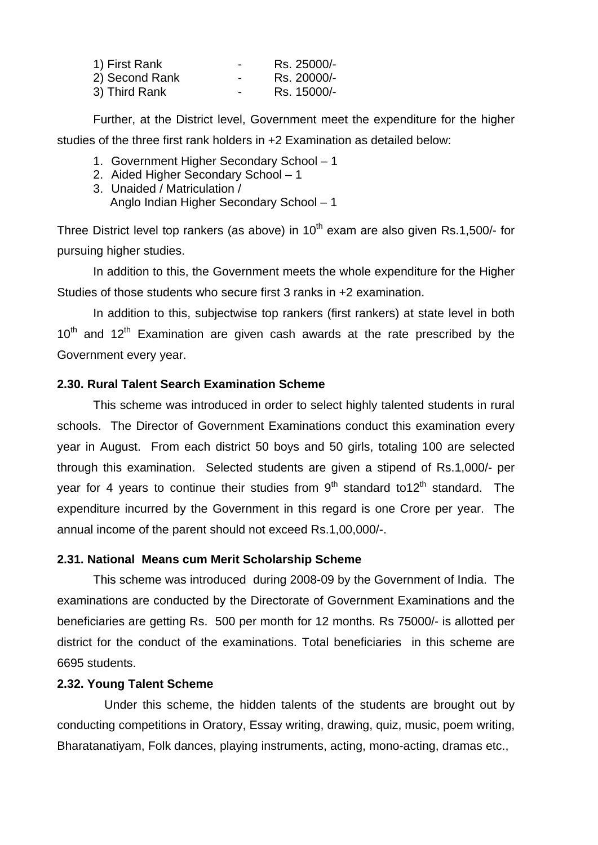| 1) First Rank  | $\overline{\phantom{0}}$ | Rs. 25000/- |
|----------------|--------------------------|-------------|
| 2) Second Rank | $\overline{\phantom{0}}$ | Rs. 20000/- |
| 3) Third Rank  | $\blacksquare$           | Rs. 15000/- |

 Further, at the District level, Government meet the expenditure for the higher studies of the three first rank holders in +2 Examination as detailed below:

- 1. Government Higher Secondary School 1
- 2. Aided Higher Secondary School 1
- 3. Unaided / Matriculation / Anglo Indian Higher Secondary School – 1

Three District level top rankers (as above) in  $10<sup>th</sup>$  exam are also given Rs.1,500/- for pursuing higher studies.

 In addition to this, the Government meets the whole expenditure for the Higher Studies of those students who secure first 3 ranks in +2 examination.

 In addition to this, subjectwise top rankers (first rankers) at state level in both  $10^{th}$  and  $12^{th}$  Examination are given cash awards at the rate prescribed by the Government every year.

### **2.30. Rural Talent Search Examination Scheme**

 This scheme was introduced in order to select highly talented students in rural schools. The Director of Government Examinations conduct this examination every year in August. From each district 50 boys and 50 girls, totaling 100 are selected through this examination. Selected students are given a stipend of Rs.1,000/- per year for 4 years to continue their studies from  $9<sup>th</sup>$  standard to12<sup>th</sup> standard. The expenditure incurred by the Government in this regard is one Crore per year. The annual income of the parent should not exceed Rs.1,00,000/-.

## **2.31. National Means cum Merit Scholarship Scheme**

This scheme was introduced during 2008-09 by the Government of India. The examinations are conducted by the Directorate of Government Examinations and the beneficiaries are getting Rs. 500 per month for 12 months. Rs 75000/- is allotted per district for the conduct of the examinations. Total beneficiaries in this scheme are 6695 students.

## **2.32. Young Talent Scheme**

 Under this scheme, the hidden talents of the students are brought out by conducting competitions in Oratory, Essay writing, drawing, quiz, music, poem writing, Bharatanatiyam, Folk dances, playing instruments, acting, mono-acting, dramas etc.,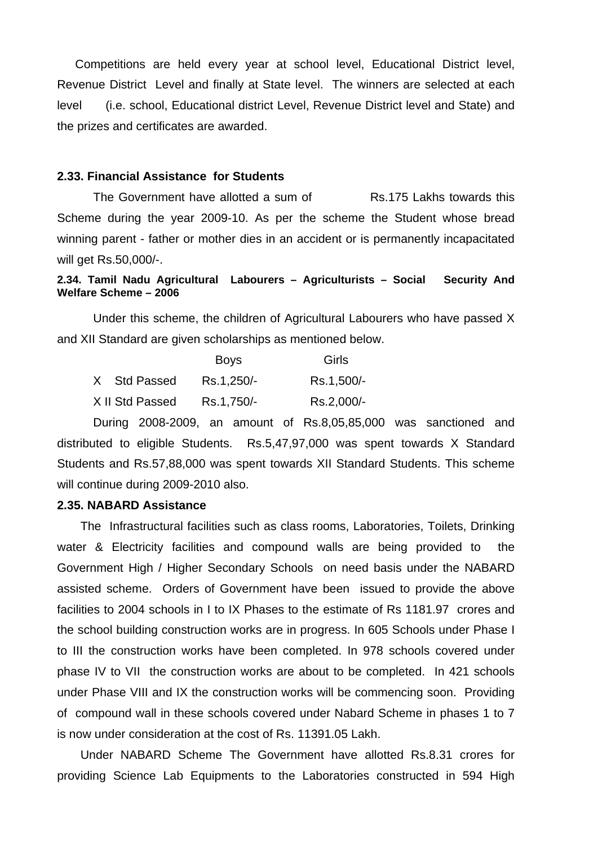Competitions are held every year at school level, Educational District level, Revenue District Level and finally at State level. The winners are selected at each level (i.e. school, Educational district Level, Revenue District level and State) and the prizes and certificates are awarded.

#### **2.33. Financial Assistance for Students**

The Government have allotted a sum of Rs.175 Lakhs towards this Scheme during the year 2009-10. As per the scheme the Student whose bread winning parent - father or mother dies in an accident or is permanently incapacitated will get Rs.50,000/-.

### **2.34. Tamil Nadu Agricultural Labourers – Agriculturists – Social Security And Welfare Scheme – 2006**

 Under this scheme, the children of Agricultural Labourers who have passed X and XII Standard are given scholarships as mentioned below.

|                 | <b>Boys</b> | Girls      |
|-----------------|-------------|------------|
| X Std Passed    | Rs.1,250/-  | Rs.1,500/- |
| X II Std Passed | Rs.1,750/-  | Rs.2,000/- |

During 2008-2009, an amount of Rs.8,05,85,000 was sanctioned and distributed to eligible Students. Rs.5,47,97,000 was spent towards X Standard Students and Rs.57,88,000 was spent towards XII Standard Students. This scheme will continue during 2009-2010 also.

#### **2.35. NABARD Assistance**

The Infrastructural facilities such as class rooms, Laboratories, Toilets, Drinking water & Electricity facilities and compound walls are being provided to the Government High / Higher Secondary Schools on need basis under the NABARD assisted scheme. Orders of Government have been issued to provide the above facilities to 2004 schools in I to IX Phases to the estimate of Rs 1181.97 crores and the school building construction works are in progress. In 605 Schools under Phase I to III the construction works have been completed. In 978 schools covered under phase IV to VII the construction works are about to be completed. In 421 schools under Phase VIII and IX the construction works will be commencing soon. Providing of compound wall in these schools covered under Nabard Scheme in phases 1 to 7 is now under consideration at the cost of Rs. 11391.05 Lakh.

Under NABARD Scheme The Government have allotted Rs.8.31 crores for providing Science Lab Equipments to the Laboratories constructed in 594 High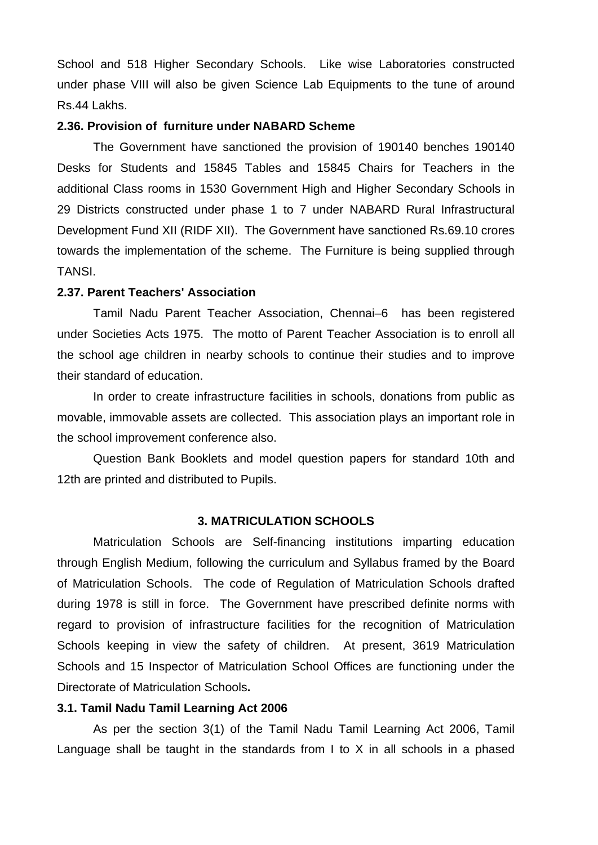School and 518 Higher Secondary Schools. Like wise Laboratories constructed under phase VIII will also be given Science Lab Equipments to the tune of around Rs.44 Lakhs.

### **2.36. Provision of furniture under NABARD Scheme**

The Government have sanctioned the provision of 190140 benches 190140 Desks for Students and 15845 Tables and 15845 Chairs for Teachers in the additional Class rooms in 1530 Government High and Higher Secondary Schools in 29 Districts constructed under phase 1 to 7 under NABARD Rural Infrastructural Development Fund XII (RIDF XII). The Government have sanctioned Rs.69.10 crores towards the implementation of the scheme. The Furniture is being supplied through TANSI.

## **2.37. Parent Teachers' Association**

Tamil Nadu Parent Teacher Association, Chennai–6 has been registered under Societies Acts 1975. The motto of Parent Teacher Association is to enroll all the school age children in nearby schools to continue their studies and to improve their standard of education.

 In order to create infrastructure facilities in schools, donations from public as movable, immovable assets are collected. This association plays an important role in the school improvement conference also.

 Question Bank Booklets and model question papers for standard 10th and 12th are printed and distributed to Pupils.

#### **3. MATRICULATION SCHOOLS**

Matriculation Schools are Self-financing institutions imparting education through English Medium, following the curriculum and Syllabus framed by the Board of Matriculation Schools. The code of Regulation of Matriculation Schools drafted during 1978 is still in force. The Government have prescribed definite norms with regard to provision of infrastructure facilities for the recognition of Matriculation Schools keeping in view the safety of children. At present, 3619 Matriculation Schools and 15 Inspector of Matriculation School Offices are functioning under the Directorate of Matriculation Schools**.**

### **3.1. Tamil Nadu Tamil Learning Act 2006**

As per the section 3(1) of the Tamil Nadu Tamil Learning Act 2006, Tamil Language shall be taught in the standards from I to X in all schools in a phased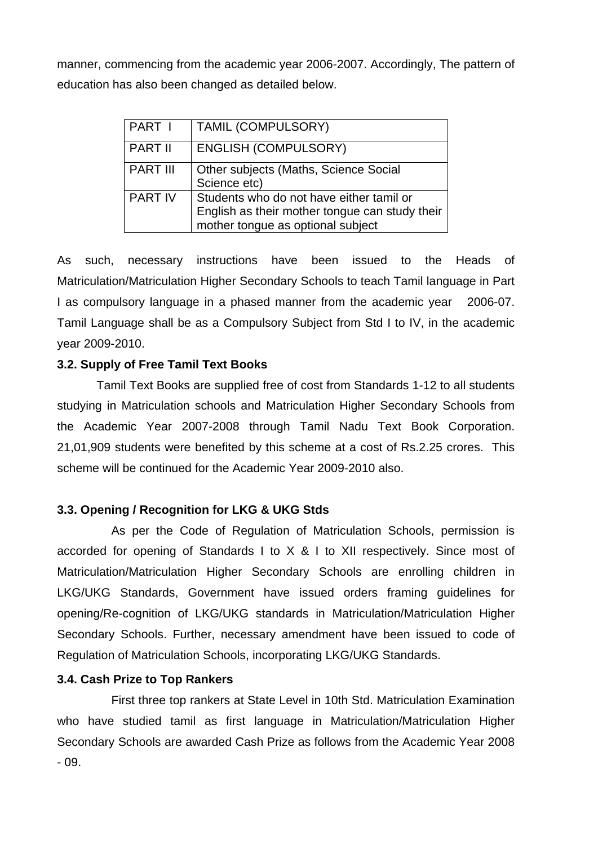manner, commencing from the academic year 2006-2007. Accordingly, The pattern of education has also been changed as detailed below.

| PART I          | <b>TAMIL (COMPULSORY)</b>                                                                                                       |
|-----------------|---------------------------------------------------------------------------------------------------------------------------------|
| <b>PART II</b>  | <b>ENGLISH (COMPULSORY)</b>                                                                                                     |
| <b>PART III</b> | Other subjects (Maths, Science Social<br>Science etc)                                                                           |
| <b>PART IV</b>  | Students who do not have either tamil or<br>English as their mother tongue can study their<br>mother tongue as optional subject |

As such, necessary instructions have been issued to the Heads of Matriculation/Matriculation Higher Secondary Schools to teach Tamil language in Part I as compulsory language in a phased manner from the academic year 2006-07. Tamil Language shall be as a Compulsory Subject from Std I to IV, in the academic year 2009-2010.

## **3.2. Supply of Free Tamil Text Books**

 Tamil Text Books are supplied free of cost from Standards 1-12 to all students studying in Matriculation schools and Matriculation Higher Secondary Schools from the Academic Year 2007-2008 through Tamil Nadu Text Book Corporation. 21,01,909 students were benefited by this scheme at a cost of Rs.2.25 crores. This scheme will be continued for the Academic Year 2009-2010 also.

## **3.3. Opening / Recognition for LKG & UKG Stds**

 As per the Code of Regulation of Matriculation Schools, permission is accorded for opening of Standards I to X & I to XII respectively. Since most of Matriculation/Matriculation Higher Secondary Schools are enrolling children in LKG/UKG Standards, Government have issued orders framing guidelines for opening/Re-cognition of LKG/UKG standards in Matriculation/Matriculation Higher Secondary Schools. Further, necessary amendment have been issued to code of Regulation of Matriculation Schools, incorporating LKG/UKG Standards.

# **3.4. Cash Prize to Top Rankers**

First three top rankers at State Level in 10th Std. Matriculation Examination who have studied tamil as first language in Matriculation/Matriculation Higher Secondary Schools are awarded Cash Prize as follows from the Academic Year 2008 - 09.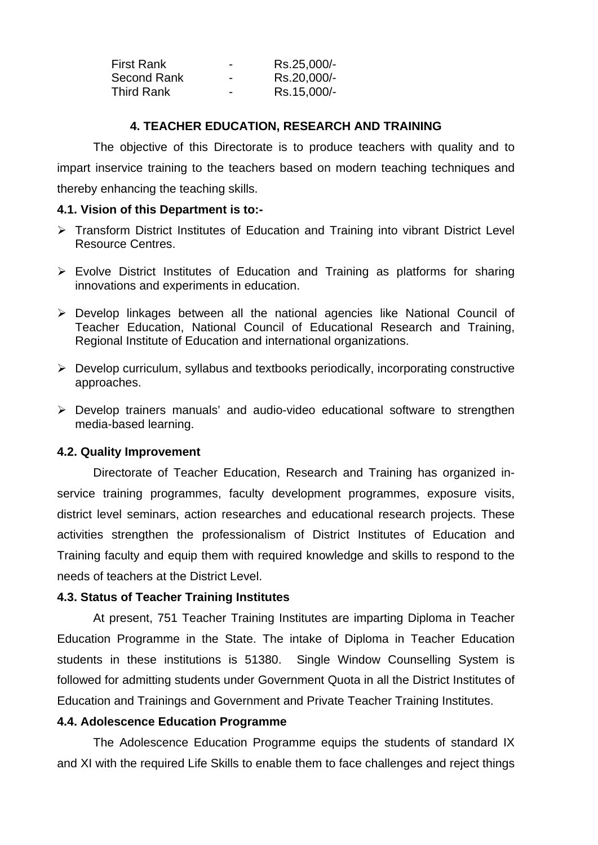| <b>First Rank</b> | $\blacksquare$           | Rs.25,000/- |
|-------------------|--------------------------|-------------|
| Second Rank       | $\overline{\phantom{0}}$ | Rs.20,000/- |
| <b>Third Rank</b> | $\overline{\phantom{0}}$ | Rs.15,000/- |

## **4. TEACHER EDUCATION, RESEARCH AND TRAINING**

The objective of this Directorate is to produce teachers with quality and to impart inservice training to the teachers based on modern teaching techniques and thereby enhancing the teaching skills.

## **4.1. Vision of this Department is to:-**

- ¾ Transform District Institutes of Education and Training into vibrant District Level Resource Centres.
- $\triangleright$  Evolve District Institutes of Education and Training as platforms for sharing innovations and experiments in education.
- ¾ Develop linkages between all the national agencies like National Council of Teacher Education, National Council of Educational Research and Training, Regional Institute of Education and international organizations.
- $\triangleright$  Develop curriculum, syllabus and textbooks periodically, incorporating constructive approaches.
- ¾ Develop trainers manuals' and audio-video educational software to strengthen media-based learning.

# **4.2. Quality Improvement**

 Directorate of Teacher Education, Research and Training has organized inservice training programmes, faculty development programmes, exposure visits, district level seminars, action researches and educational research projects. These activities strengthen the professionalism of District Institutes of Education and Training faculty and equip them with required knowledge and skills to respond to the needs of teachers at the District Level.

# **4.3. Status of Teacher Training Institutes**

At present, 751 Teacher Training Institutes are imparting Diploma in Teacher Education Programme in the State. The intake of Diploma in Teacher Education students in these institutions is 51380. Single Window Counselling System is followed for admitting students under Government Quota in all the District Institutes of Education and Trainings and Government and Private Teacher Training Institutes.

# **4.4. Adolescence Education Programme**

 The Adolescence Education Programme equips the students of standard IX and XI with the required Life Skills to enable them to face challenges and reject things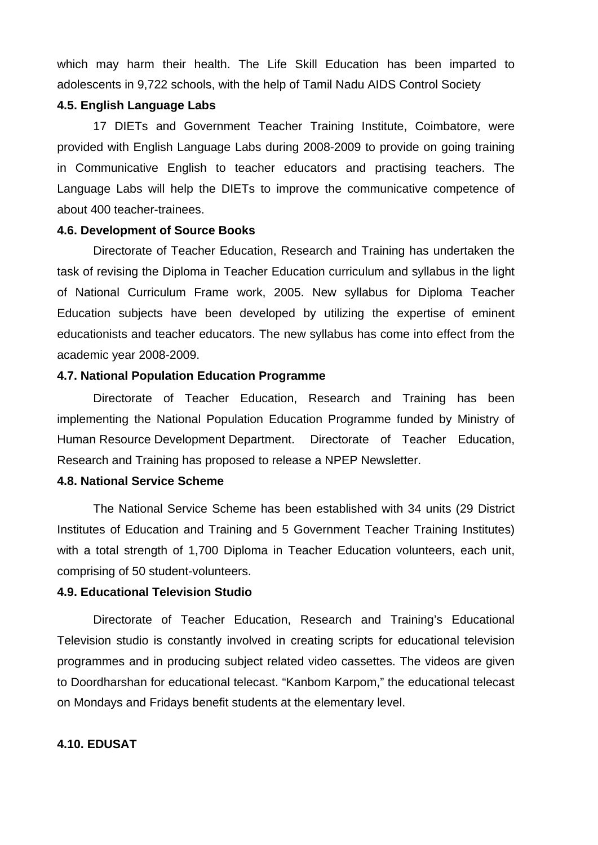which may harm their health. The Life Skill Education has been imparted to adolescents in 9,722 schools, with the help of Tamil Nadu AIDS Control Society

## **4.5. English Language Labs**

 17 DIETs and Government Teacher Training Institute, Coimbatore, were provided with English Language Labs during 2008-2009 to provide on going training in Communicative English to teacher educators and practising teachers. The Language Labs will help the DIETs to improve the communicative competence of about 400 teacher-trainees.

## **4.6. Development of Source Books**

 Directorate of Teacher Education, Research and Training has undertaken the task of revising the Diploma in Teacher Education curriculum and syllabus in the light of National Curriculum Frame work, 2005. New syllabus for Diploma Teacher Education subjects have been developed by utilizing the expertise of eminent educationists and teacher educators. The new syllabus has come into effect from the academic year 2008-2009.

### **4.7. National Population Education Programme**

 Directorate of Teacher Education, Research and Training has been implementing the National Population Education Programme funded by Ministry of Human Resource Development Department. Directorate of Teacher Education, Research and Training has proposed to release a NPEP Newsletter.

### **4.8. National Service Scheme**

 The National Service Scheme has been established with 34 units (29 District Institutes of Education and Training and 5 Government Teacher Training Institutes) with a total strength of 1,700 Diploma in Teacher Education volunteers, each unit, comprising of 50 student-volunteers.

## **4.9. Educational Television Studio**

 Directorate of Teacher Education, Research and Training's Educational Television studio is constantly involved in creating scripts for educational television programmes and in producing subject related video cassettes. The videos are given to Doordharshan for educational telecast. "Kanbom Karpom," the educational telecast on Mondays and Fridays benefit students at the elementary level.

## **4.10. EDUSAT**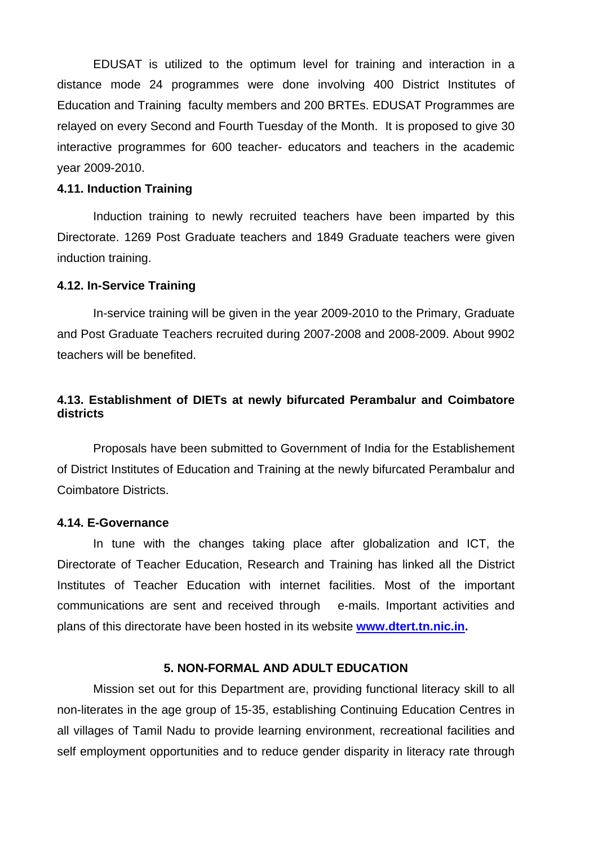EDUSAT is utilized to the optimum level for training and interaction in a distance mode 24 programmes were done involving 400 District Institutes of Education and Training faculty members and 200 BRTEs. EDUSAT Programmes are relayed on every Second and Fourth Tuesday of the Month. It is proposed to give 30 interactive programmes for 600 teacher- educators and teachers in the academic year 2009-2010.

### **4.11. Induction Training**

Induction training to newly recruited teachers have been imparted by this Directorate. 1269 Post Graduate teachers and 1849 Graduate teachers were given induction training.

### **4.12. In-Service Training**

In-service training will be given in the year 2009-2010 to the Primary, Graduate and Post Graduate Teachers recruited during 2007-2008 and 2008-2009. About 9902 teachers will be benefited.

## **4.13. Establishment of DIETs at newly bifurcated Perambalur and Coimbatore districts**

 Proposals have been submitted to Government of India for the Establishement of District Institutes of Education and Training at the newly bifurcated Perambalur and Coimbatore Districts.

#### **4.14. E-Governance**

 In tune with the changes taking place after globalization and ICT, the Directorate of Teacher Education, Research and Training has linked all the District Institutes of Teacher Education with internet facilities. Most of the important communications are sent and received through e-mails. Important activities and plans of this directorate have been hosted in its website **www.dtert.tn.nic.in.** 

### **5. NON-FORMAL AND ADULT EDUCATION**

Mission set out for this Department are, providing functional literacy skill to all non-literates in the age group of 15-35, establishing Continuing Education Centres in all villages of Tamil Nadu to provide learning environment, recreational facilities and self employment opportunities and to reduce gender disparity in literacy rate through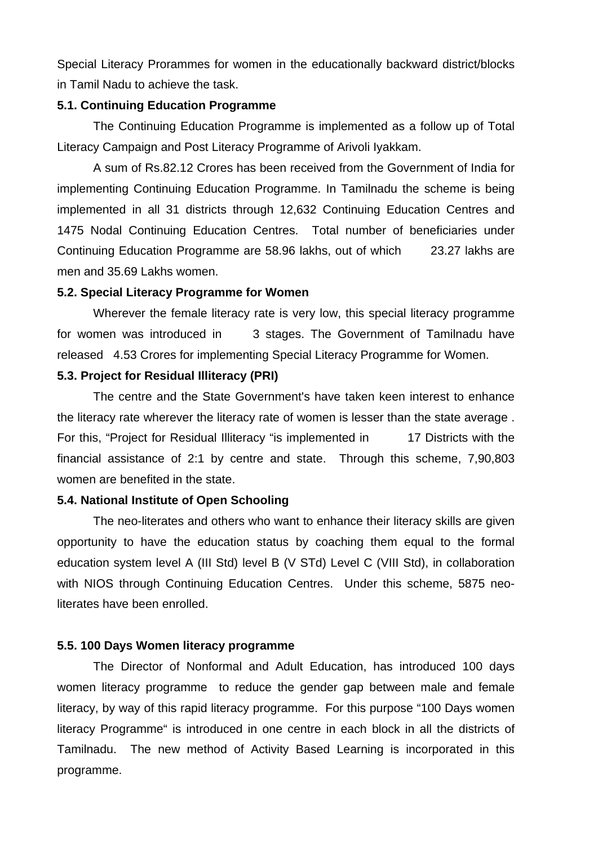Special Literacy Prorammes for women in the educationally backward district/blocks in Tamil Nadu to achieve the task.

### **5.1. Continuing Education Programme**

The Continuing Education Programme is implemented as a follow up of Total Literacy Campaign and Post Literacy Programme of Arivoli Iyakkam.

A sum of Rs.82.12 Crores has been received from the Government of India for implementing Continuing Education Programme. In Tamilnadu the scheme is being implemented in all 31 districts through 12,632 Continuing Education Centres and 1475 Nodal Continuing Education Centres. Total number of beneficiaries under Continuing Education Programme are 58.96 lakhs, out of which 23.27 lakhs are men and 35.69 Lakhs women.

#### **5.2. Special Literacy Programme for Women**

Wherever the female literacy rate is very low, this special literacy programme for women was introduced in 3 stages. The Government of Tamilnadu have released 4.53 Crores for implementing Special Literacy Programme for Women.

#### **5.3. Project for Residual Illiteracy (PRI)**

 The centre and the State Government's have taken keen interest to enhance the literacy rate wherever the literacy rate of women is lesser than the state average . For this, "Project for Residual Illiteracy "is implemented in 17 Districts with the financial assistance of 2:1 by centre and state. Through this scheme, 7,90,803 women are benefited in the state.

### **5.4. National Institute of Open Schooling**

 The neo-literates and others who want to enhance their literacy skills are given opportunity to have the education status by coaching them equal to the formal education system level A (III Std) level B (V STd) Level C (VIII Std), in collaboration with NIOS through Continuing Education Centres. Under this scheme, 5875 neoliterates have been enrolled.

### **5.5. 100 Days Women literacy programme**

 The Director of Nonformal and Adult Education, has introduced 100 days women literacy programme to reduce the gender gap between male and female literacy, by way of this rapid literacy programme. For this purpose "100 Days women literacy Programme" is introduced in one centre in each block in all the districts of Tamilnadu. The new method of Activity Based Learning is incorporated in this programme.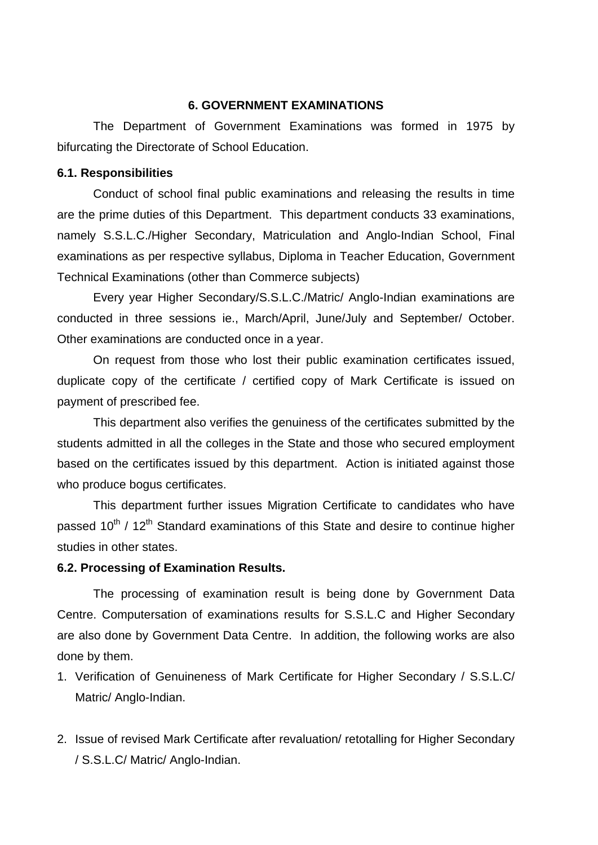## **6. GOVERNMENT EXAMINATIONS**

The Department of Government Examinations was formed in 1975 by bifurcating the Directorate of School Education.

#### **6.1. Responsibilities**

Conduct of school final public examinations and releasing the results in time are the prime duties of this Department. This department conducts 33 examinations, namely S.S.L.C./Higher Secondary, Matriculation and Anglo-Indian School, Final examinations as per respective syllabus, Diploma in Teacher Education, Government Technical Examinations (other than Commerce subjects)

Every year Higher Secondary/S.S.L.C./Matric/ Anglo-Indian examinations are conducted in three sessions ie., March/April, June/July and September/ October. Other examinations are conducted once in a year.

On request from those who lost their public examination certificates issued, duplicate copy of the certificate / certified copy of Mark Certificate is issued on payment of prescribed fee.

This department also verifies the genuiness of the certificates submitted by the students admitted in all the colleges in the State and those who secured employment based on the certificates issued by this department. Action is initiated against those who produce bogus certificates.

This department further issues Migration Certificate to candidates who have passed  $10^{th}$  /  $12^{th}$  Standard examinations of this State and desire to continue higher studies in other states.

### **6.2. Processing of Examination Results.**

The processing of examination result is being done by Government Data Centre. Computersation of examinations results for S.S.L.C and Higher Secondary are also done by Government Data Centre. In addition, the following works are also done by them.

- 1. Verification of Genuineness of Mark Certificate for Higher Secondary / S.S.L.C/ Matric/ Anglo-Indian.
- 2. Issue of revised Mark Certificate after revaluation/ retotalling for Higher Secondary / S.S.L.C/ Matric/ Anglo-Indian.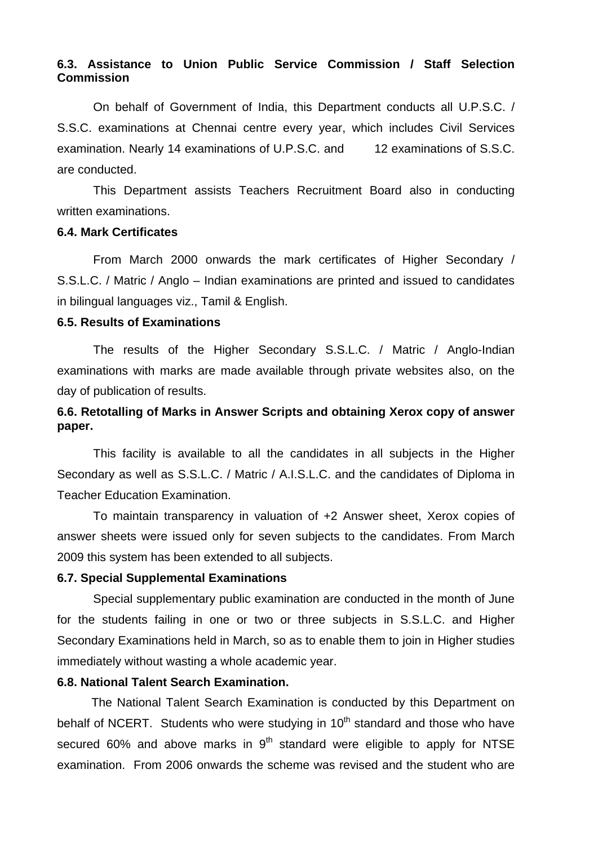### **6.3. Assistance to Union Public Service Commission / Staff Selection Commission**

On behalf of Government of India, this Department conducts all U.P.S.C. / S.S.C. examinations at Chennai centre every year, which includes Civil Services examination. Nearly 14 examinations of U.P.S.C. and 12 examinations of S.S.C. are conducted.

This Department assists Teachers Recruitment Board also in conducting written examinations.

### **6.4. Mark Certificates**

 From March 2000 onwards the mark certificates of Higher Secondary / S.S.L.C. / Matric / Anglo – Indian examinations are printed and issued to candidates in bilingual languages viz., Tamil & English.

### **6.5. Results of Examinations**

 The results of the Higher Secondary S.S.L.C. / Matric / Anglo-Indian examinations with marks are made available through private websites also, on the day of publication of results.

# **6.6. Retotalling of Marks in Answer Scripts and obtaining Xerox copy of answer paper.**

 This facility is available to all the candidates in all subjects in the Higher Secondary as well as S.S.L.C. / Matric / A.I.S.L.C. and the candidates of Diploma in Teacher Education Examination.

 To maintain transparency in valuation of +2 Answer sheet, Xerox copies of answer sheets were issued only for seven subjects to the candidates. From March 2009 this system has been extended to all subjects.

### **6.7. Special Supplemental Examinations**

 Special supplementary public examination are conducted in the month of June for the students failing in one or two or three subjects in S.S.L.C. and Higher Secondary Examinations held in March, so as to enable them to join in Higher studies immediately without wasting a whole academic year.

### **6.8. National Talent Search Examination.**

The National Talent Search Examination is conducted by this Department on behalf of NCERT. Students who were studying in  $10<sup>th</sup>$  standard and those who have secured 60% and above marks in  $9<sup>th</sup>$  standard were eligible to apply for NTSE examination. From 2006 onwards the scheme was revised and the student who are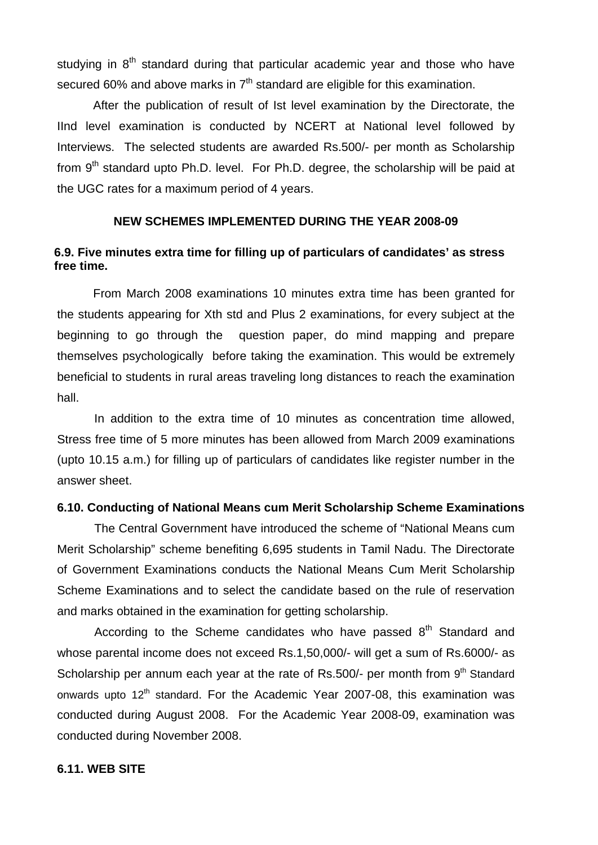studying in  $8<sup>th</sup>$  standard during that particular academic year and those who have secured 60% and above marks in  $7<sup>th</sup>$  standard are eligible for this examination.

 After the publication of result of Ist level examination by the Directorate, the IInd level examination is conducted by NCERT at National level followed by Interviews. The selected students are awarded Rs.500/- per month as Scholarship from  $9<sup>th</sup>$  standard upto Ph.D. level. For Ph.D. degree, the scholarship will be paid at the UGC rates for a maximum period of 4 years.

### **NEW SCHEMES IMPLEMENTED DURING THE YEAR 2008-09**

## **6.9. Five minutes extra time for filling up of particulars of candidates' as stress free time.**

 From March 2008 examinations 10 minutes extra time has been granted for the students appearing for Xth std and Plus 2 examinations, for every subject at the beginning to go through the question paper, do mind mapping and prepare themselves psychologically before taking the examination. This would be extremely beneficial to students in rural areas traveling long distances to reach the examination hall.

In addition to the extra time of 10 minutes as concentration time allowed, Stress free time of 5 more minutes has been allowed from March 2009 examinations (upto 10.15 a.m.) for filling up of particulars of candidates like register number in the answer sheet.

#### **6.10. Conducting of National Means cum Merit Scholarship Scheme Examinations**

The Central Government have introduced the scheme of "National Means cum Merit Scholarship" scheme benefiting 6,695 students in Tamil Nadu. The Directorate of Government Examinations conducts the National Means Cum Merit Scholarship Scheme Examinations and to select the candidate based on the rule of reservation and marks obtained in the examination for getting scholarship.

According to the Scheme candidates who have passed  $8<sup>th</sup>$  Standard and whose parental income does not exceed Rs.1,50,000/- will get a sum of Rs.6000/- as Scholarship per annum each year at the rate of Rs.500/- per month from  $9<sup>th</sup>$  Standard onwards upto 12<sup>th</sup> standard. For the Academic Year 2007-08, this examination was conducted during August 2008. For the Academic Year 2008-09, examination was conducted during November 2008.

#### **6.11. WEB SITE**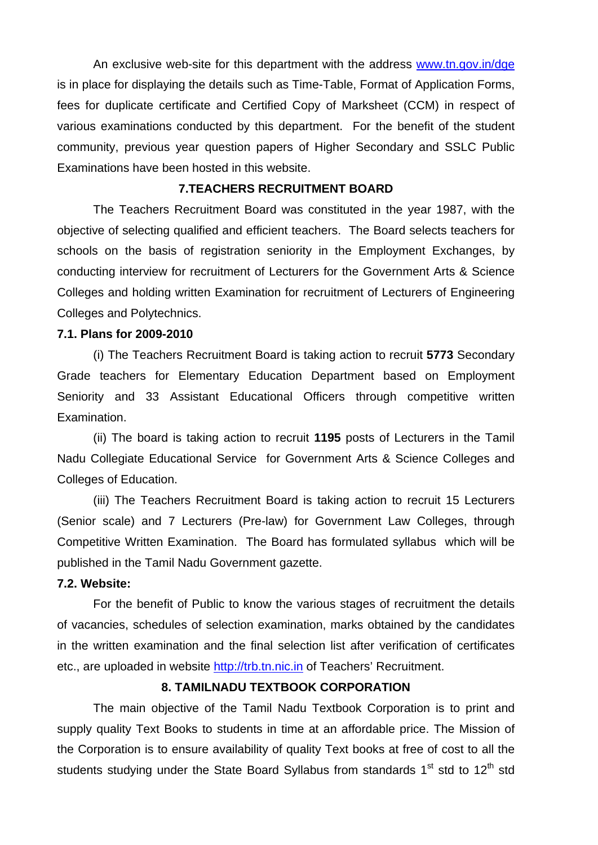An exclusive web-site for this department with the address www.tn.gov.in/dge is in place for displaying the details such as Time-Table, Format of Application Forms, fees for duplicate certificate and Certified Copy of Marksheet (CCM) in respect of various examinations conducted by this department. For the benefit of the student community, previous year question papers of Higher Secondary and SSLC Public Examinations have been hosted in this website.

#### **7.TEACHERS RECRUITMENT BOARD**

 The Teachers Recruitment Board was constituted in the year 1987, with the objective of selecting qualified and efficient teachers. The Board selects teachers for schools on the basis of registration seniority in the Employment Exchanges, by conducting interview for recruitment of Lecturers for the Government Arts & Science Colleges and holding written Examination for recruitment of Lecturers of Engineering Colleges and Polytechnics.

### **7.1. Plans for 2009-2010**

(i) The Teachers Recruitment Board is taking action to recruit **5773** Secondary Grade teachers for Elementary Education Department based on Employment Seniority and 33 Assistant Educational Officers through competitive written Examination.

 (ii) The board is taking action to recruit **1195** posts of Lecturers in the Tamil Nadu Collegiate Educational Service for Government Arts & Science Colleges and Colleges of Education.

(iii) The Teachers Recruitment Board is taking action to recruit 15 Lecturers (Senior scale) and 7 Lecturers (Pre-law) for Government Law Colleges, through Competitive Written Examination. The Board has formulated syllabus which will be published in the Tamil Nadu Government gazette.

#### **7.2. Website:**

For the benefit of Public to know the various stages of recruitment the details of vacancies, schedules of selection examination, marks obtained by the candidates in the written examination and the final selection list after verification of certificates etc., are uploaded in website http://trb.tn.nic.in of Teachers' Recruitment.

## **8. TAMILNADU TEXTBOOK CORPORATION**

 The main objective of the Tamil Nadu Textbook Corporation is to print and supply quality Text Books to students in time at an affordable price. The Mission of the Corporation is to ensure availability of quality Text books at free of cost to all the students studying under the State Board Syllabus from standards  $1<sup>st</sup>$  std to  $12<sup>th</sup>$  std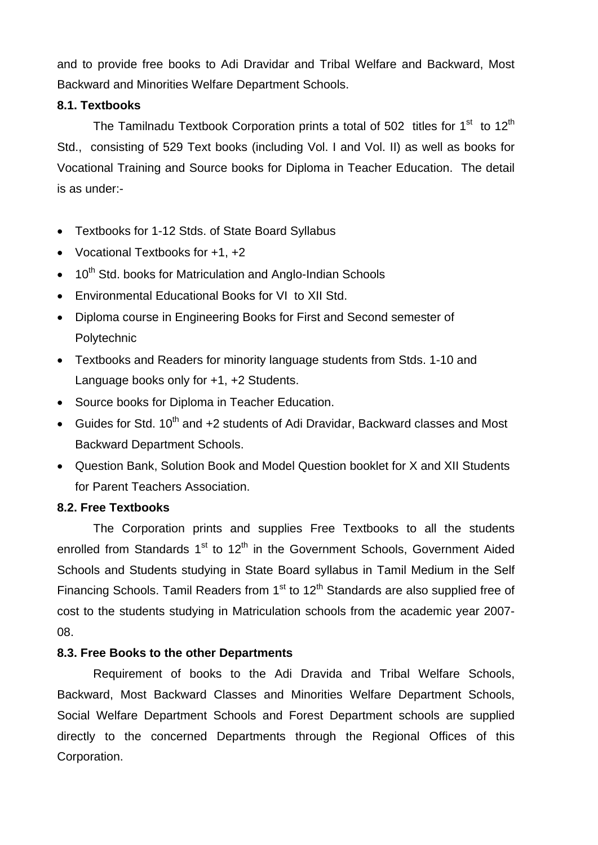and to provide free books to Adi Dravidar and Tribal Welfare and Backward, Most Backward and Minorities Welfare Department Schools.

# **8.1. Textbooks**

The Tamilnadu Textbook Corporation prints a total of 502 titles for  $1<sup>st</sup>$  to  $12<sup>th</sup>$ Std., consisting of 529 Text books (including Vol. I and Vol. II) as well as books for Vocational Training and Source books for Diploma in Teacher Education. The detail is as under:-

- Textbooks for 1-12 Stds. of State Board Syllabus
- Vocational Textbooks for +1, +2
- $\bullet$  10<sup>th</sup> Std. books for Matriculation and Anglo-Indian Schools
- Environmental Educational Books for VI to XII Std.
- Diploma course in Engineering Books for First and Second semester of **Polytechnic**
- Textbooks and Readers for minority language students from Stds. 1-10 and Language books only for +1, +2 Students.
- Source books for Diploma in Teacher Education.
- Guides for Std. 10<sup>th</sup> and  $+2$  students of Adi Dravidar, Backward classes and Most Backward Department Schools.
- Question Bank, Solution Book and Model Question booklet for X and XII Students for Parent Teachers Association.

# **8.2. Free Textbooks**

 The Corporation prints and supplies Free Textbooks to all the students enrolled from Standards  $1<sup>st</sup>$  to  $12<sup>th</sup>$  in the Government Schools, Government Aided Schools and Students studying in State Board syllabus in Tamil Medium in the Self Financing Schools. Tamil Readers from  $1<sup>st</sup>$  to  $12<sup>th</sup>$  Standards are also supplied free of cost to the students studying in Matriculation schools from the academic year 2007- 08.

# **8.3. Free Books to the other Departments**

 Requirement of books to the Adi Dravida and Tribal Welfare Schools, Backward, Most Backward Classes and Minorities Welfare Department Schools, Social Welfare Department Schools and Forest Department schools are supplied directly to the concerned Departments through the Regional Offices of this Corporation.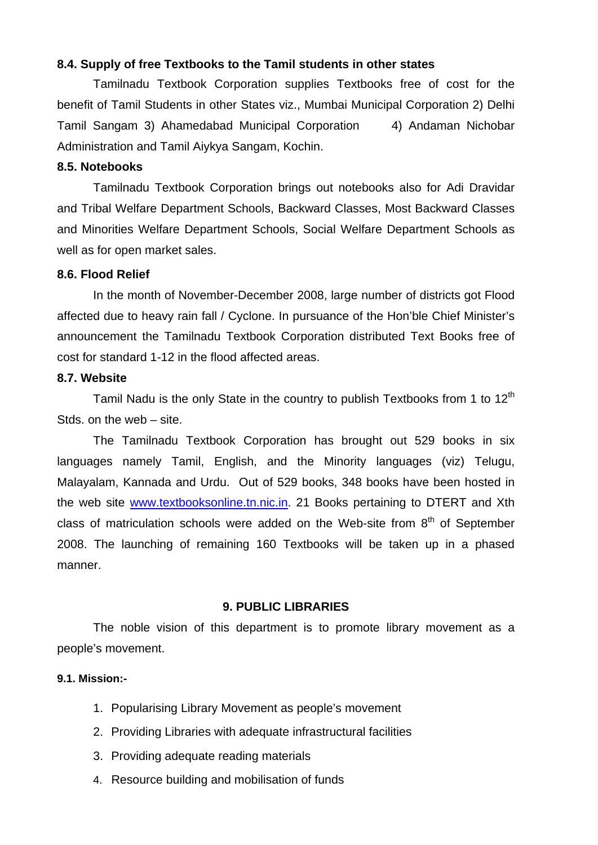### **8.4. Supply of free Textbooks to the Tamil students in other states**

 Tamilnadu Textbook Corporation supplies Textbooks free of cost for the benefit of Tamil Students in other States viz., Mumbai Municipal Corporation 2) Delhi Tamil Sangam 3) Ahamedabad Municipal Corporation 4) Andaman Nichobar Administration and Tamil Aiykya Sangam, Kochin.

### **8.5. Notebooks**

 Tamilnadu Textbook Corporation brings out notebooks also for Adi Dravidar and Tribal Welfare Department Schools, Backward Classes, Most Backward Classes and Minorities Welfare Department Schools, Social Welfare Department Schools as well as for open market sales.

#### **8.6. Flood Relief**

 In the month of November-December 2008, large number of districts got Flood affected due to heavy rain fall / Cyclone. In pursuance of the Hon'ble Chief Minister's announcement the Tamilnadu Textbook Corporation distributed Text Books free of cost for standard 1-12 in the flood affected areas.

#### **8.7. Website**

Tamil Nadu is the only State in the country to publish Textbooks from 1 to  $12<sup>th</sup>$ Stds. on the web – site.

 The Tamilnadu Textbook Corporation has brought out 529 books in six languages namely Tamil, English, and the Minority languages (viz) Telugu, Malayalam, Kannada and Urdu. Out of 529 books, 348 books have been hosted in the web site www.textbooksonline.tn.nic.in. 21 Books pertaining to DTERT and Xth class of matriculation schools were added on the Web-site from  $8<sup>th</sup>$  of September 2008. The launching of remaining 160 Textbooks will be taken up in a phased manner.

#### **9. PUBLIC LIBRARIES**

The noble vision of this department is to promote library movement as a people's movement.

## **9.1. Mission:-**

- 1. Popularising Library Movement as people's movement
- 2. Providing Libraries with adequate infrastructural facilities
- 3. Providing adequate reading materials
- 4. Resource building and mobilisation of funds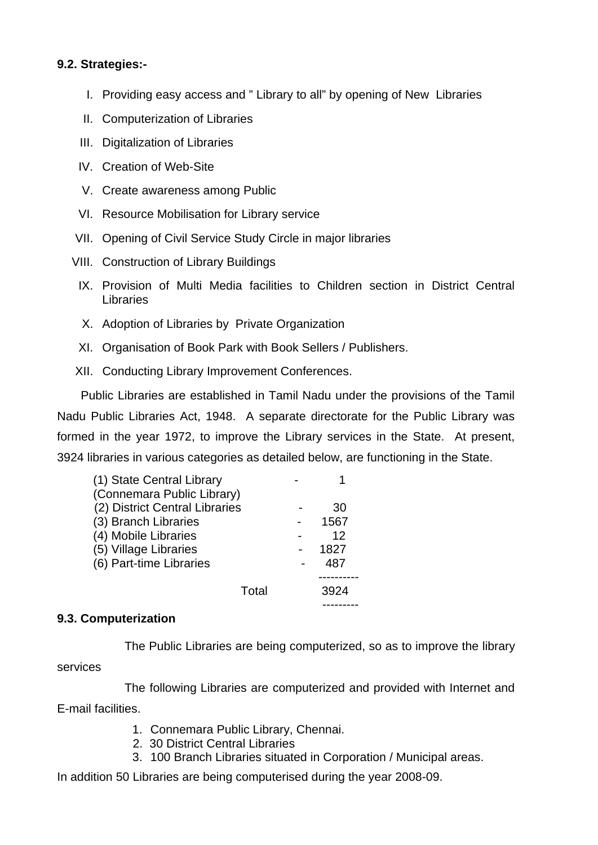## **9.2. Strategies:-**

- I. Providing easy access and " Library to all" by opening of New Libraries
- II. Computerization of Libraries
- III. Digitalization of Libraries
- IV. Creation of Web-Site
- V. Create awareness among Public
- VI. Resource Mobilisation for Library service
- VII. Opening of Civil Service Study Circle in major libraries
- VIII. Construction of Library Buildings
	- IX. Provision of Multi Media facilities to Children section in District Central Libraries
	- X. Adoption of Libraries by Private Organization
- XI. Organisation of Book Park with Book Sellers / Publishers.
- XII. Conducting Library Improvement Conferences.

 Public Libraries are established in Tamil Nadu under the provisions of the Tamil Nadu Public Libraries Act, 1948. A separate directorate for the Public Library was formed in the year 1972, to improve the Library services in the State. At present, 3924 libraries in various categories as detailed below, are functioning in the State.

| (1) State Central Library      |      |
|--------------------------------|------|
| (Connemara Public Library)     |      |
| (2) District Central Libraries | 30   |
| (3) Branch Libraries           | 1567 |
| (4) Mobile Libraries           | 12   |
| (5) Village Libraries          | 1827 |
| (6) Part-time Libraries        | 487  |
|                                |      |
| Total                          | 3924 |
|                                |      |

## **9.3. Computerization**

The Public Libraries are being computerized, so as to improve the library

services

 The following Libraries are computerized and provided with Internet and E-mail facilities.

- 1. Connemara Public Library, Chennai.
- 2. 30 District Central Libraries
- 3. 100 Branch Libraries situated in Corporation / Municipal areas.

In addition 50 Libraries are being computerised during the year 2008-09.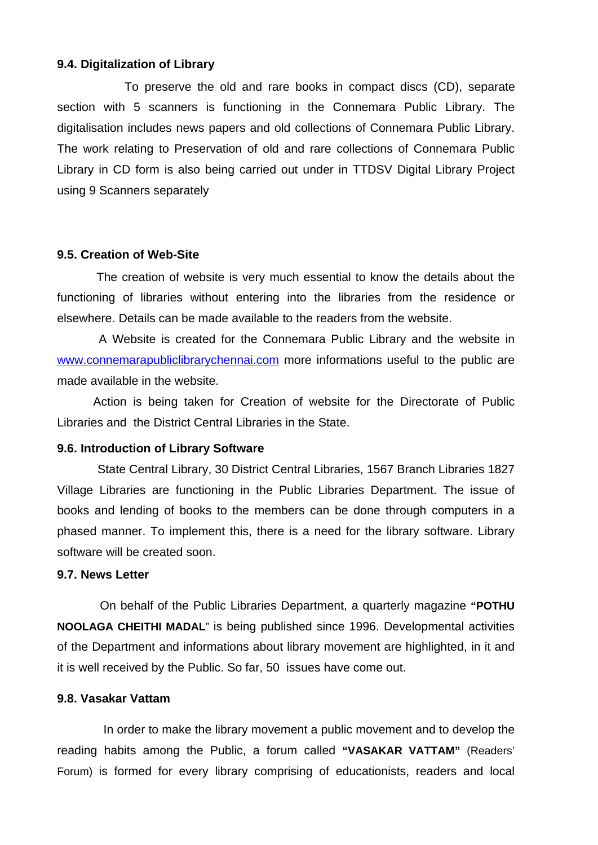### **9.4. Digitalization of Library**

 To preserve the old and rare books in compact discs (CD), separate section with 5 scanners is functioning in the Connemara Public Library. The digitalisation includes news papers and old collections of Connemara Public Library. The work relating to Preservation of old and rare collections of Connemara Public Library in CD form is also being carried out under in TTDSV Digital Library Project using 9 Scanners separately

### **9.5. Creation of Web-Site**

 The creation of website is very much essential to know the details about the functioning of libraries without entering into the libraries from the residence or elsewhere. Details can be made available to the readers from the website.

 A Website is created for the Connemara Public Library and the website in www.connemarapubliclibrarychennai.com more informations useful to the public are made available in the website.

Action is being taken for Creation of website for the Directorate of Public Libraries and the District Central Libraries in the State.

### **9.6. Introduction of Library Software**

 State Central Library, 30 District Central Libraries, 1567 Branch Libraries 1827 Village Libraries are functioning in the Public Libraries Department. The issue of books and lending of books to the members can be done through computers in a phased manner. To implement this, there is a need for the library software. Library software will be created soon.

### **9.7. News Letter**

 On behalf of the Public Libraries Department, a quarterly magazine **"POTHU NOOLAGA CHEITHI MADAL**" is being published since 1996. Developmental activities of the Department and informations about library movement are highlighted, in it and it is well received by the Public. So far, 50 issues have come out.

### **9.8. Vasakar Vattam**

 In order to make the library movement a public movement and to develop the reading habits among the Public, a forum called **"VASAKAR VATTAM"** (Readers' Forum) is formed for every library comprising of educationists, readers and local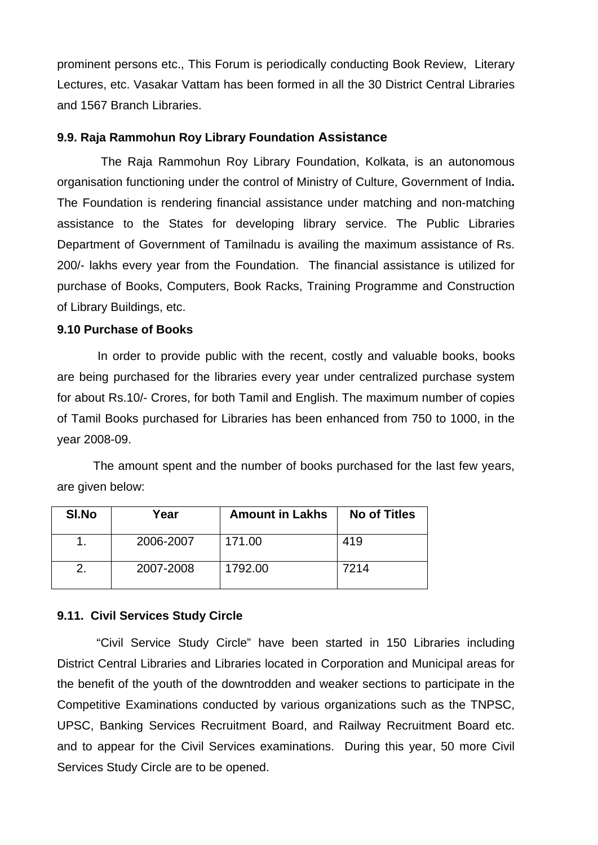prominent persons etc., This Forum is periodically conducting Book Review, Literary Lectures, etc. Vasakar Vattam has been formed in all the 30 District Central Libraries and 1567 Branch Libraries.

## **9.9. Raja Rammohun Roy Library Foundation Assistance**

 The Raja Rammohun Roy Library Foundation, Kolkata, is an autonomous organisation functioning under the control of Ministry of Culture, Government of India**.** The Foundation is rendering financial assistance under matching and non-matching assistance to the States for developing library service. The Public Libraries Department of Government of Tamilnadu is availing the maximum assistance of Rs. 200/- lakhs every year from the Foundation. The financial assistance is utilized for purchase of Books, Computers, Book Racks, Training Programme and Construction of Library Buildings, etc.

## **9.10 Purchase of Books**

 In order to provide public with the recent, costly and valuable books, books are being purchased for the libraries every year under centralized purchase system for about Rs.10/- Crores, for both Tamil and English. The maximum number of copies of Tamil Books purchased for Libraries has been enhanced from 750 to 1000, in the year 2008-09.

 The amount spent and the number of books purchased for the last few years, are given below:

| <b>SI.No</b> | Year      | <b>Amount in Lakhs</b> | <b>No of Titles</b> |
|--------------|-----------|------------------------|---------------------|
|              | 2006-2007 | 171.00                 | 419                 |
|              | 2007-2008 | 1792.00                | 7214                |

## **9.11. Civil Services Study Circle**

 "Civil Service Study Circle" have been started in 150 Libraries including District Central Libraries and Libraries located in Corporation and Municipal areas for the benefit of the youth of the downtrodden and weaker sections to participate in the Competitive Examinations conducted by various organizations such as the TNPSC, UPSC, Banking Services Recruitment Board, and Railway Recruitment Board etc. and to appear for the Civil Services examinations. During this year, 50 more Civil Services Study Circle are to be opened.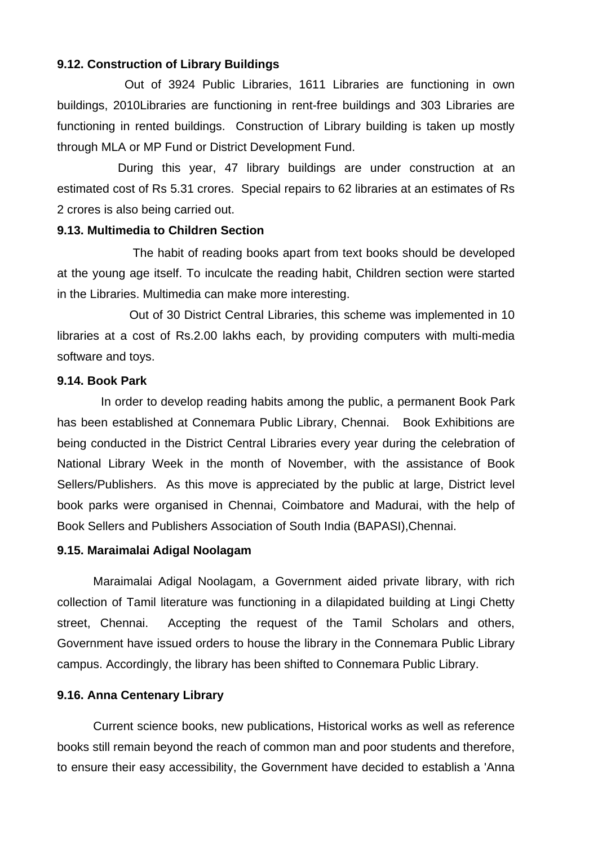### **9.12. Construction of Library Buildings**

Out of 3924 Public Libraries, 1611 Libraries are functioning in own buildings, 2010Libraries are functioning in rent-free buildings and 303 Libraries are functioning in rented buildings. Construction of Library building is taken up mostly through MLA or MP Fund or District Development Fund.

 During this year, 47 library buildings are under construction at an estimated cost of Rs 5.31 crores. Special repairs to 62 libraries at an estimates of Rs 2 crores is also being carried out.

### **9.13. Multimedia to Children Section**

 The habit of reading books apart from text books should be developed at the young age itself. To inculcate the reading habit, Children section were started in the Libraries. Multimedia can make more interesting.

 Out of 30 District Central Libraries, this scheme was implemented in 10 libraries at a cost of Rs.2.00 lakhs each, by providing computers with multi-media software and toys.

### **9.14. Book Park**

 In order to develop reading habits among the public, a permanent Book Park has been established at Connemara Public Library, Chennai. Book Exhibitions are being conducted in the District Central Libraries every year during the celebration of National Library Week in the month of November, with the assistance of Book Sellers/Publishers. As this move is appreciated by the public at large, District level book parks were organised in Chennai, Coimbatore and Madurai, with the help of Book Sellers and Publishers Association of South India (BAPASI),Chennai.

### **9.15. Maraimalai Adigal Noolagam**

 Maraimalai Adigal Noolagam, a Government aided private library, with rich collection of Tamil literature was functioning in a dilapidated building at Lingi Chetty street, Chennai. Accepting the request of the Tamil Scholars and others, Government have issued orders to house the library in the Connemara Public Library campus. Accordingly, the library has been shifted to Connemara Public Library.

### **9.16. Anna Centenary Library**

Current science books, new publications, Historical works as well as reference books still remain beyond the reach of common man and poor students and therefore, to ensure their easy accessibility, the Government have decided to establish a 'Anna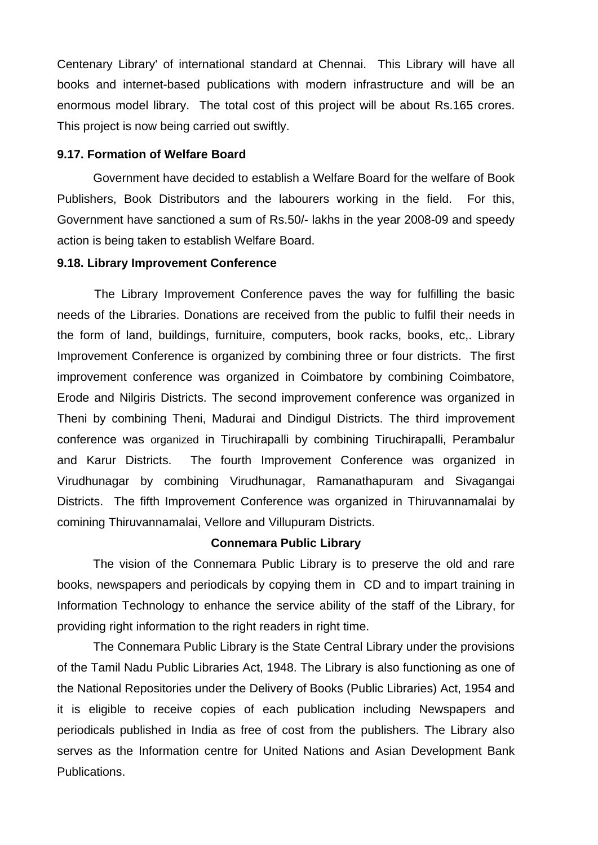Centenary Library' of international standard at Chennai. This Library will have all books and internet-based publications with modern infrastructure and will be an enormous model library. The total cost of this project will be about Rs.165 crores. This project is now being carried out swiftly.

### **9.17. Formation of Welfare Board**

Government have decided to establish a Welfare Board for the welfare of Book Publishers, Book Distributors and the labourers working in the field. For this, Government have sanctioned a sum of Rs.50/- lakhs in the year 2008-09 and speedy action is being taken to establish Welfare Board.

### **9.18. Library Improvement Conference**

 The Library Improvement Conference paves the way for fulfilling the basic needs of the Libraries. Donations are received from the public to fulfil their needs in the form of land, buildings, furnituire, computers, book racks, books, etc,. Library Improvement Conference is organized by combining three or four districts. The first improvement conference was organized in Coimbatore by combining Coimbatore, Erode and Nilgiris Districts. The second improvement conference was organized in Theni by combining Theni, Madurai and Dindigul Districts. The third improvement conference was organized in Tiruchirapalli by combining Tiruchirapalli, Perambalur and Karur Districts. The fourth Improvement Conference was organized in Virudhunagar by combining Virudhunagar, Ramanathapuram and Sivagangai Districts. The fifth Improvement Conference was organized in Thiruvannamalai by comining Thiruvannamalai, Vellore and Villupuram Districts.

### **Connemara Public Library**

The vision of the Connemara Public Library is to preserve the old and rare books, newspapers and periodicals by copying them in CD and to impart training in Information Technology to enhance the service ability of the staff of the Library, for providing right information to the right readers in right time.

 The Connemara Public Library is the State Central Library under the provisions of the Tamil Nadu Public Libraries Act, 1948. The Library is also functioning as one of the National Repositories under the Delivery of Books (Public Libraries) Act, 1954 and it is eligible to receive copies of each publication including Newspapers and periodicals published in India as free of cost from the publishers. The Library also serves as the Information centre for United Nations and Asian Development Bank Publications.